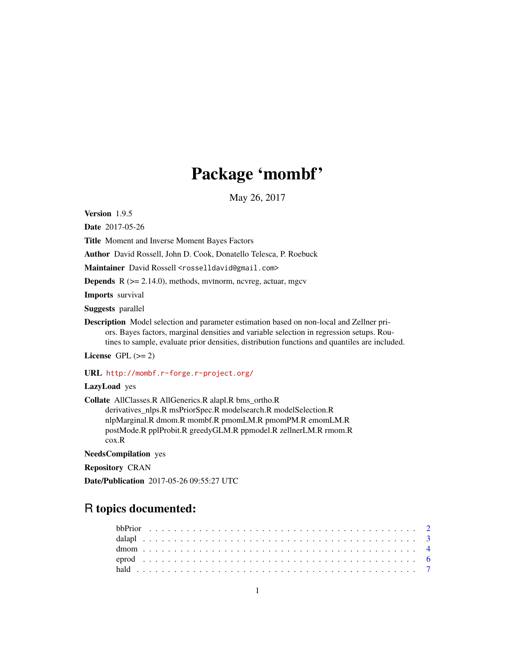# Package 'mombf'

May 26, 2017

Version 1.9.5

Date 2017-05-26

Title Moment and Inverse Moment Bayes Factors

Author David Rossell, John D. Cook, Donatello Telesca, P. Roebuck

Maintainer David Rossell <rosselldavid@gmail.com>

**Depends**  $R$  ( $>= 2.14.0$ ), methods, mythorm, ncvreg, actuar, mgcv

Imports survival

Suggests parallel

Description Model selection and parameter estimation based on non-local and Zellner priors. Bayes factors, marginal densities and variable selection in regression setups. Routines to sample, evaluate prior densities, distribution functions and quantiles are included.

License GPL  $(>= 2)$ 

URL <http://mombf.r-forge.r-project.org/>

LazyLoad yes

Collate AllClasses.R AllGenerics.R alapl.R bms\_ortho.R derivatives\_nlps.R msPriorSpec.R modelsearch.R modelSelection.R nlpMarginal.R dmom.R mombf.R pmomLM.R pmomPM.R emomLM.R postMode.R pplProbit.R greedyGLM.R ppmodel.R zellnerLM.R rmom.R cox.R

NeedsCompilation yes

Repository CRAN

Date/Publication 2017-05-26 09:55:27 UTC

# R topics documented: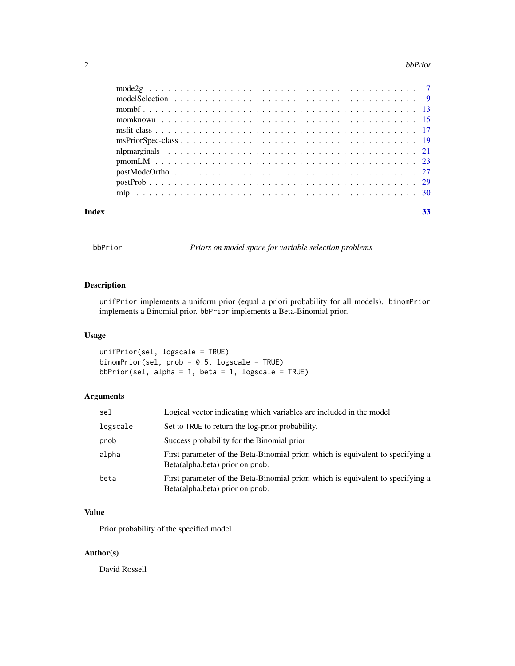#### <span id="page-1-0"></span>2 bbPrior

| Index | 33 |
|-------|----|

bbPrior *Priors on model space for variable selection problems*

# Description

unifPrior implements a uniform prior (equal a priori probability for all models). binomPrior implements a Binomial prior. bbPrior implements a Beta-Binomial prior.

# Usage

unifPrior(sel, logscale = TRUE) binomPrior(sel, prob = 0.5, logscale = TRUE) bbPrior(sel, alpha = 1, beta = 1, logscale =  $TRUE$ )

# Arguments

| sel      | Logical vector indicating which variables are included in the model                                                 |
|----------|---------------------------------------------------------------------------------------------------------------------|
| logscale | Set to TRUE to return the log-prior probability.                                                                    |
| prob     | Success probability for the Binomial prior                                                                          |
| alpha    | First parameter of the Beta-Binomial prior, which is equivalent to specifying a<br>Beta(alpha, beta) prior on prob. |
| beta     | First parameter of the Beta-Binomial prior, which is equivalent to specifying a<br>Beta(alpha, beta) prior on prob. |

# Value

Prior probability of the specified model

# Author(s)

David Rossell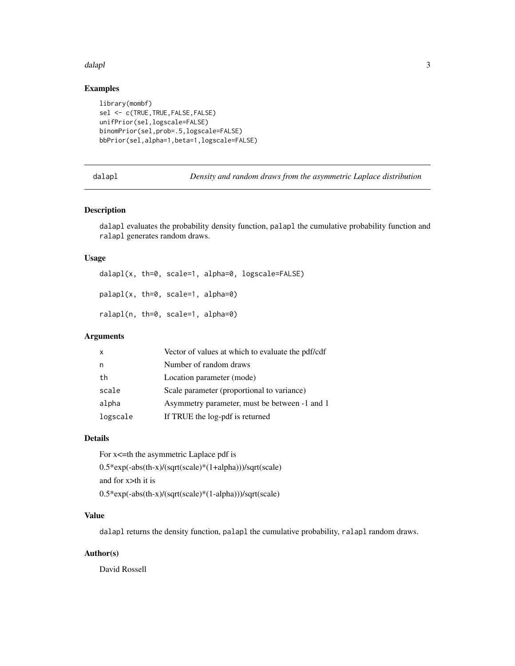#### <span id="page-2-0"></span>dalapl**o** 3

# Examples

```
library(mombf)
sel <- c(TRUE,TRUE,FALSE,FALSE)
unifPrior(sel,logscale=FALSE)
binomPrior(sel,prob=.5,logscale=FALSE)
bbPrior(sel,alpha=1,beta=1,logscale=FALSE)
```
dalapl *Density and random draws from the asymmetric Laplace distribution*

#### Description

dalapl evaluates the probability density function, palapl the cumulative probability function and ralapl generates random draws.

# Usage

```
dalapl(x, th=0, scale=1, alpha=0, logscale=FALSE)
palapl(x, th=0, scale=1, alpha=0)
ralapl(n, th=0, scale=1, alpha=0)
```
#### Arguments

| X        | Vector of values at which to evaluate the pdf/cdf |
|----------|---------------------------------------------------|
| n        | Number of random draws                            |
| th       | Location parameter (mode)                         |
| scale    | Scale parameter (proportional to variance)        |
| alpha    | Asymmetry parameter, must be between -1 and 1     |
| logscale | If TRUE the log-pdf is returned                   |

#### Details

For x<=th the asymmetric Laplace pdf is 0.5\*exp(-abs(th-x)/(sqrt(scale)\*(1+alpha)))/sqrt(scale) and for x>th it is 0.5\*exp(-abs(th-x)/(sqrt(scale)\*(1-alpha)))/sqrt(scale)

# Value

dalapl returns the density function, palapl the cumulative probability, ralapl random draws.

#### Author(s)

David Rossell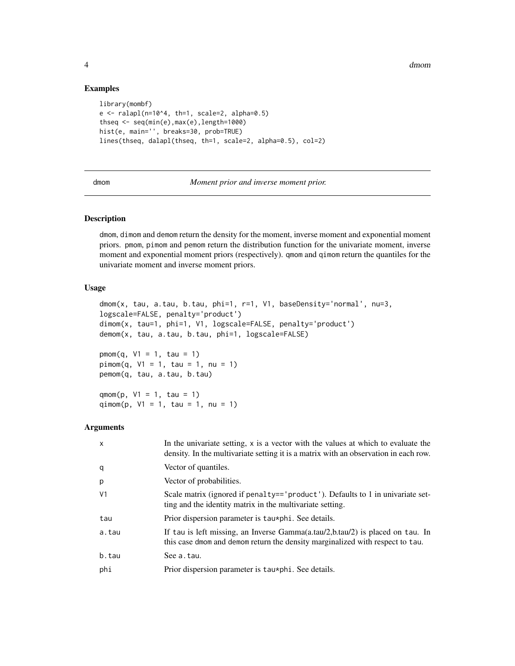4 dmom

#### Examples

```
library(mombf)
e \le - ralapl(n=10^4, th=1, scale=2, alpha=0.5)
thseq <- seq(min(e),max(e),length=1000)
hist(e, main='', breaks=30, prob=TRUE)
lines(thseq, dalapl(thseq, th=1, scale=2, alpha=0.5), col=2)
```
<span id="page-3-1"></span>dmom *Moment prior and inverse moment prior.*

#### <span id="page-3-2"></span>Description

dmom, dimom and demom return the density for the moment, inverse moment and exponential moment priors. pmom, pimom and pemom return the distribution function for the univariate moment, inverse moment and exponential moment priors (respectively). qmom and qimom return the quantiles for the univariate moment and inverse moment priors.

#### Usage

```
dmom(x, tau, a.tau, b.tau, phi=1, r=1, V1, baseDensity='normal', nu=3,
logscale=FALSE, penalty='product')
dimom(x, tau=1, phi=1, V1, logscale=FALSE, penalty='product')
demom(x, tau, a.tau, b.tau, phi=1, logscale=FALSE)
pmom(q, V1 = 1, tau = 1)pimom(q, V1 = 1, tau = 1, nu = 1)pemom(q, tau, a.tau, b.tau)
```
 $qmom(p, V1 = 1, tau = 1)$ qimom(p,  $V1 = 1$ , tau = 1, nu = 1)

| $\mathsf{x}$   | In the univariate setting, x is a vector with the values at which to evaluate the<br>density. In the multivariate setting it is a matrix with an observation in each row. |
|----------------|---------------------------------------------------------------------------------------------------------------------------------------------------------------------------|
| q              | Vector of quantiles.                                                                                                                                                      |
| p              | Vector of probabilities.                                                                                                                                                  |
| V <sub>1</sub> | Scale matrix (ignored if penalty=='product'). Defaults to 1 in univariate set-<br>ting and the identity matrix in the multivariate setting.                               |
| tau            | Prior dispersion parameter is tau*phi. See details.                                                                                                                       |
| a.tau          | If tau is left missing, an Inverse Gamma(a.tau/2,b.tau/2) is placed on tau. In<br>this case d omm and demom return the density marginalized with respect to tau.          |
| b.tau          | See a.tau.                                                                                                                                                                |
| phi            | Prior dispersion parameter is tau*phi. See details.                                                                                                                       |

<span id="page-3-0"></span>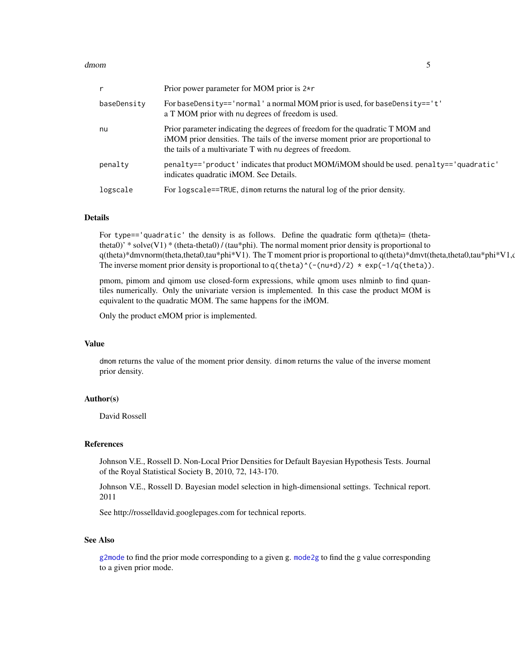#### <span id="page-4-0"></span>dmom 55

| r           | Prior power parameter for MOM prior is $2\star r$                                                                                                                                                                             |
|-------------|-------------------------------------------------------------------------------------------------------------------------------------------------------------------------------------------------------------------------------|
| baseDensity | For baseDensity=='normal' a normal MOM prior is used, for baseDensity=='t'<br>a T MOM prior with nu degrees of freedom is used.                                                                                               |
| nu          | Prior parameter indicating the degrees of freedom for the quadratic T MOM and<br>iMOM prior densities. The tails of the inverse moment prior are proportional to<br>the tails of a multivariate T with nu degrees of freedom. |
| penalty     | penalty=='product' indicates that product MOM/iMOM should be used. penalty=='quadratic'<br>indicates quadratic iMOM. See Details.                                                                                             |
| logscale    | For logscale==TRUE, dimom returns the natural log of the prior density.                                                                                                                                                       |

#### Details

For type=='quadratic' the density is as follows. Define the quadratic form  $q$ (theta)= (thetatheta0)' \* solve(V1) \* (theta-theta0) / (tau\*phi). The normal moment prior density is proportional to q(theta)\*dmvnorm(theta,theta0,tau\*phi\*V1). The T moment prior is proportional to q(theta)\*dmvt(theta,theta0,tau\*phi\*V1,d The inverse moment prior density is proportional to  $q(\theta)$  (-(nu+d)/2)  $*$  exp(-1/q(theta)).

pmom, pimom and qimom use closed-form expressions, while qmom uses nlminb to find quantiles numerically. Only the univariate version is implemented. In this case the product MOM is equivalent to the quadratic MOM. The same happens for the iMOM.

Only the product eMOM prior is implemented.

#### Value

dmom returns the value of the moment prior density. dimom returns the value of the inverse moment prior density.

#### Author(s)

David Rossell

#### References

Johnson V.E., Rossell D. Non-Local Prior Densities for Default Bayesian Hypothesis Tests. Journal of the Royal Statistical Society B, 2010, 72, 143-170.

Johnson V.E., Rossell D. Bayesian model selection in high-dimensional settings. Technical report. 2011

See http://rosselldavid.googlepages.com for technical reports.

#### See Also

[g2mode](#page-6-1) to find the prior mode corresponding to a given g. [mode2g](#page-6-2) to find the g value corresponding to a given prior mode.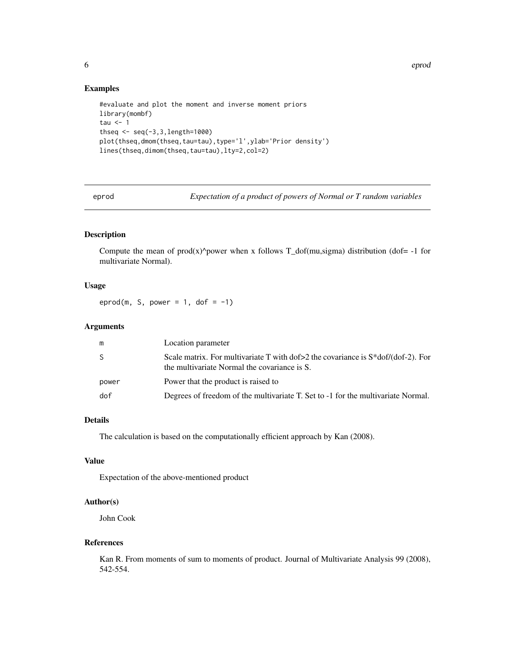<span id="page-5-0"></span>6 eproducer and the second control of the second control of the second control of the second control of the second control of the second control of the second control of the second control of the second control of the seco

#### Examples

```
#evaluate and plot the moment and inverse moment priors
library(mombf)
tau \leq -1thseq <- seq(-3,3,length=1000)
plot(thseq,dmom(thseq,tau=tau),type='l',ylab='Prior density')
lines(thseq,dimom(thseq,tau=tau),lty=2,col=2)
```
eprod *Expectation of a product of powers of Normal or T random variables*

#### Description

Compute the mean of prod(x)^power when x follows T\_dof(mu,sigma) distribution (dof= -1 for multivariate Normal).

#### Usage

eprod(m, S, power = 1, dof =  $-1$ )

# Arguments

| m     | Location parameter                                                                                                                    |
|-------|---------------------------------------------------------------------------------------------------------------------------------------|
| -S    | Scale matrix. For multivariate T with $dof>2$ the covariance is $S*dof/(dof-2)$ . For<br>the multivariate Normal the covariance is S. |
| power | Power that the product is raised to                                                                                                   |
| dof   | Degrees of freedom of the multivariate T. Set to -1 for the multivariate Normal.                                                      |

#### Details

The calculation is based on the computationally efficient approach by Kan (2008).

# Value

Expectation of the above-mentioned product

#### Author(s)

John Cook

## References

Kan R. From moments of sum to moments of product. Journal of Multivariate Analysis 99 (2008), 542-554.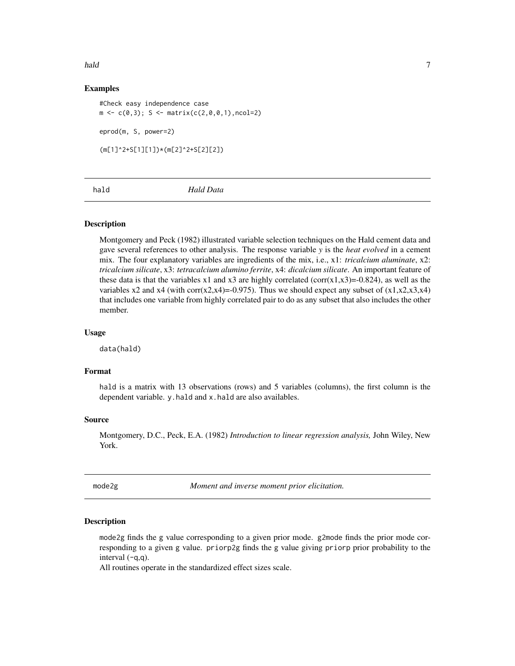<span id="page-6-0"></span>hald **hald** 2008 **7** 

# Examples

#Check easy independence case  $m \leftarrow c(0,3); S \leftarrow matrix(c(2,0,0,1), ncol=2)$ eprod(m, S, power=2) (m[1]^2+S[1][1])\*(m[2]^2+S[2][2])

hald *Hald Data*

#### Description

Montgomery and Peck (1982) illustrated variable selection techniques on the Hald cement data and gave several references to other analysis. The response variable *y* is the *heat evolved* in a cement mix. The four explanatory variables are ingredients of the mix, i.e., x1: *tricalcium aluminate*, x2: *tricalcium silicate*, x3: *tetracalcium alumino ferrite*, x4: *dicalcium silicate*. An important feature of these data is that the variables x1 and x3 are highly correlated (corr(x1,x3)=-0.824), as well as the variables x2 and x4 (with corr(x2,x4)=-0.975). Thus we should expect any subset of  $(x1,x2,x3,x4)$ that includes one variable from highly correlated pair to do as any subset that also includes the other member.

#### Usage

data(hald)

# Format

hald is a matrix with 13 observations (rows) and 5 variables (columns), the first column is the dependent variable. y.hald and x.hald are also availables.

#### Source

Montgomery, D.C., Peck, E.A. (1982) *Introduction to linear regression analysis,* John Wiley, New York.

<span id="page-6-2"></span>mode2g *Moment and inverse moment prior elicitation.*

#### <span id="page-6-1"></span>Description

mode2g finds the g value corresponding to a given prior mode. g2mode finds the prior mode corresponding to a given g value. priorp2g finds the g value giving priorp prior probability to the interval  $(-q,q)$ .

All routines operate in the standardized effect sizes scale.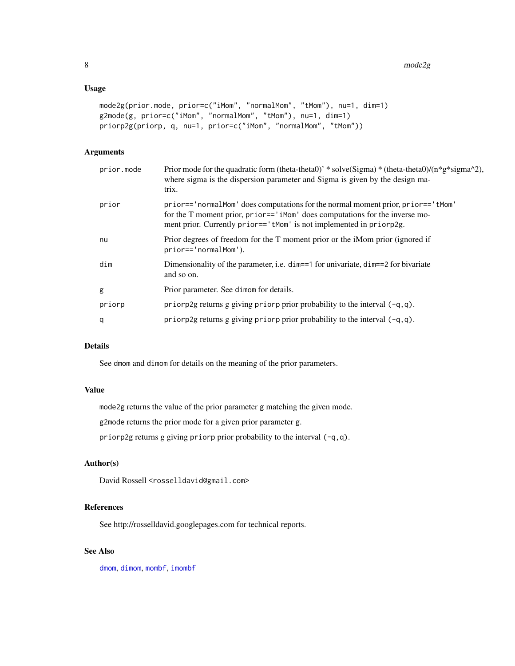#### <span id="page-7-0"></span>Usage

```
mode2g(prior.mode, prior=c("iMom", "normalMom", "tMom"), nu=1, dim=1)
g2mode(g, prior=c("iMom", "normalMom", "tMom"), nu=1, dim=1)
priorp2g(priorp, q, nu=1, prior=c("iMom", "normalMom", "tMom"))
```
# Arguments

| prior.mode | Prior mode for the quadratic form (theta-theta0)' * solve(Sigma) * (theta-theta0)/ $(n * g * signa^2)$ ,<br>where sigma is the dispersion parameter and Sigma is given by the design ma-<br>trix.                                     |
|------------|---------------------------------------------------------------------------------------------------------------------------------------------------------------------------------------------------------------------------------------|
| prior      | prior=='normalMom' does computations for the normal moment prior, prior=='tMom'<br>for the T moment prior, prior=='iMom' does computations for the inverse mo-<br>ment prior. Currently prior=='tMom' is not implemented in priorp2g. |
| nu         | Prior degrees of freedom for the T moment prior or the iMom prior (ignored if<br>prior=='normalMom').                                                                                                                                 |
| dim        | Dimensionality of the parameter, i.e. $\dim = 1$ for univariate, $\dim = 2$ for bivariate<br>and so on.                                                                                                                               |
| g          | Prior parameter. See dimom for details.                                                                                                                                                                                               |
| priorp     | priorp2g returns g giving priorp prior probability to the interval $(-q, q)$ .                                                                                                                                                        |
| q          | priorp2g returns g giving priorp prior probability to the interval $(-q, q)$ .                                                                                                                                                        |
|            |                                                                                                                                                                                                                                       |

# Details

See dmom and dimom for details on the meaning of the prior parameters.

# Value

mode2g returns the value of the prior parameter g matching the given mode.

g2mode returns the prior mode for a given prior parameter g.

priorp2g returns g giving priorp prior probability to the interval (-q,q).

# Author(s)

David Rossell <rosselldavid@gmail.com>

# References

See http://rosselldavid.googlepages.com for technical reports.

# See Also

[dmom](#page-3-1), [dimom](#page-3-2), [mombf](#page-12-1), [imombf](#page-12-2)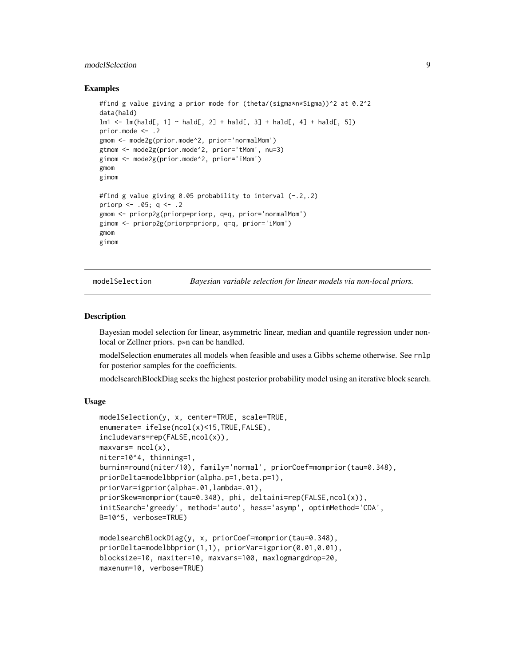# <span id="page-8-0"></span>modelSelection 9

#### Examples

```
#find g value giving a prior mode for (theta/(sigma*n*Sigma))^2 at 0.2^2
data(hald)
lm1 \leftarrow lm(hald[, 1] \sim hall[, 2] + hall[, 3] + hall[, 4] + hall[5]prior.mode <- .2
gmom <- mode2g(prior.mode^2, prior='normalMom')
gtmom <- mode2g(prior.mode^2, prior='tMom', nu=3)
gimom <- mode2g(prior.mode^2, prior='iMom')
gmom
gimom
#find g value giving 0.05 probability to interval (-.2,.2)
priorp <- .05; q <- .2
gmom <- priorp2g(priorp=priorp, q=q, prior='normalMom')
gimom <- priorp2g(priorp=priorp, q=q, prior='iMom')
gmom
gimom
```
<span id="page-8-1"></span>modelSelection *Bayesian variable selection for linear models via non-local priors.*

#### **Description**

Bayesian model selection for linear, asymmetric linear, median and quantile regression under nonlocal or Zellner priors. p»n can be handled.

modelSelection enumerates all models when feasible and uses a Gibbs scheme otherwise. See rnlp for posterior samples for the coefficients.

modelsearchBlockDiag seeks the highest posterior probability model using an iterative block search.

#### Usage

```
modelSelection(y, x, center=TRUE, scale=TRUE,
enumerate= ifelse(ncol(x)<15,TRUE,FALSE),
includevars=rep(FALSE,ncol(x)),
maxvars = ncol(x),
niter=10^4, thinning=1,
burnin=round(niter/10), family='normal', priorCoef=momprior(tau=0.348),
priorDelta=modelbbprior(alpha.p=1,beta.p=1),
priorVar=igprior(alpha=.01,lambda=.01),
priorSkew=momprior(tau=0.348), phi, deltaini=rep(FALSE,ncol(x)),
initSearch='greedy', method='auto', hess='asymp', optimMethod='CDA',
B=10^5, verbose=TRUE)
modelsearchBlockDiag(y, x, priorCoef=momprior(tau=0.348),
priorDelta=modelbbprior(1,1), priorVar=igprior(0.01,0.01),
blocksize=10, maxiter=10, maxvars=100, maxlogmargdrop=20,
maxenum=10, verbose=TRUE)
```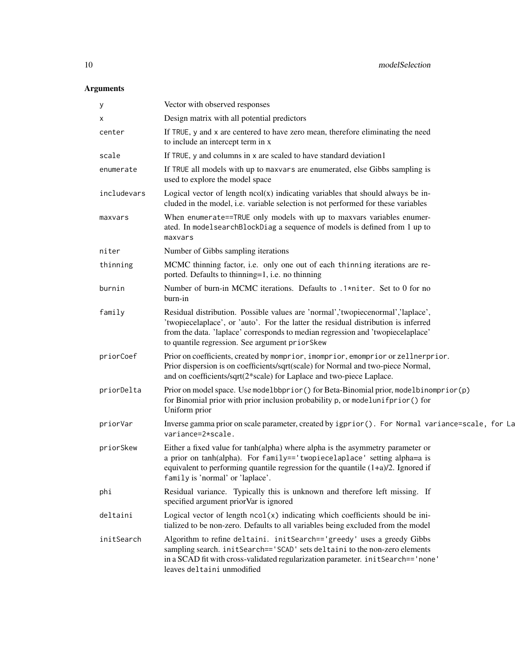| у           | Vector with observed responses                                                                                                                                                                                                                                                                             |
|-------------|------------------------------------------------------------------------------------------------------------------------------------------------------------------------------------------------------------------------------------------------------------------------------------------------------------|
| x           | Design matrix with all potential predictors                                                                                                                                                                                                                                                                |
| center      | If TRUE, y and x are centered to have zero mean, therefore eliminating the need<br>to include an intercept term in x                                                                                                                                                                                       |
| scale       | If TRUE, y and columns in x are scaled to have standard deviation1                                                                                                                                                                                                                                         |
| enumerate   | If TRUE all models with up to maxvars are enumerated, else Gibbs sampling is<br>used to explore the model space                                                                                                                                                                                            |
| includevars | Logical vector of length $ncol(x)$ indicating variables that should always be in-<br>cluded in the model, i.e. variable selection is not performed for these variables                                                                                                                                     |
| maxvars     | When enumerate==TRUE only models with up to maxvars variables enumer-<br>ated. In modelsearchBlockDiag a sequence of models is defined from 1 up to<br>maxvars                                                                                                                                             |
| niter       | Number of Gibbs sampling iterations                                                                                                                                                                                                                                                                        |
| thinning    | MCMC thinning factor, i.e. only one out of each thinning iterations are re-<br>ported. Defaults to thinning=1, i.e. no thinning                                                                                                                                                                            |
| burnin      | Number of burn-in MCMC iterations. Defaults to .1*niter. Set to 0 for no<br>burn-in                                                                                                                                                                                                                        |
| family      | Residual distribution. Possible values are 'normal','twopiecenormal','laplace',<br>'twopiecelaplace', or 'auto'. For the latter the residual distribution is inferred<br>from the data. 'laplace' corresponds to median regression and 'twopiecelaplace'<br>to quantile regression. See argument priorSkew |
| priorCoef   | Prior on coefficients, created by momprior, imomprior, emomprior or zellnerprior.<br>Prior dispersion is on coefficients/sqrt(scale) for Normal and two-piece Normal,<br>and on coefficients/sqrt(2*scale) for Laplace and two-piece Laplace.                                                              |
| priorDelta  | Prior on model space. Use modelbbprior () for Beta-Binomial prior, modelbinomprior (p)<br>for Binomial prior with prior inclusion probability p, or modelunifprior () for<br>Uniform prior                                                                                                                 |
| priorVar    | Inverse gamma prior on scale parameter, created by igprior (). For Normal variance=scale, for La<br>variance=2*scale.                                                                                                                                                                                      |
| priorSkew   | Either a fixed value for tanh(alpha) where alpha is the asymmetry parameter or<br>a prior on tanh(alpha). For family=='twopiecelaplace' setting alpha=a is<br>equivalent to performing quantile regression for the quantile $(1+a)/2$ . Ignored if<br>family is 'normal' or 'laplace'.                     |
| phi         | Residual variance. Typically this is unknown and therefore left missing. If<br>specified argument priorVar is ignored                                                                                                                                                                                      |
| deltaini    | Logical vector of length $ncol(x)$ indicating which coefficients should be ini-<br>tialized to be non-zero. Defaults to all variables being excluded from the model                                                                                                                                        |
| initSearch  | Algorithm to refine deltaini. initSearch=='greedy' uses a greedy Gibbs<br>sampling search. initSearch=='SCAD' sets deltaini to the non-zero elements<br>in a SCAD fit with cross-validated regularization parameter. in it Search=='none'<br>leaves deltaini unmodified                                    |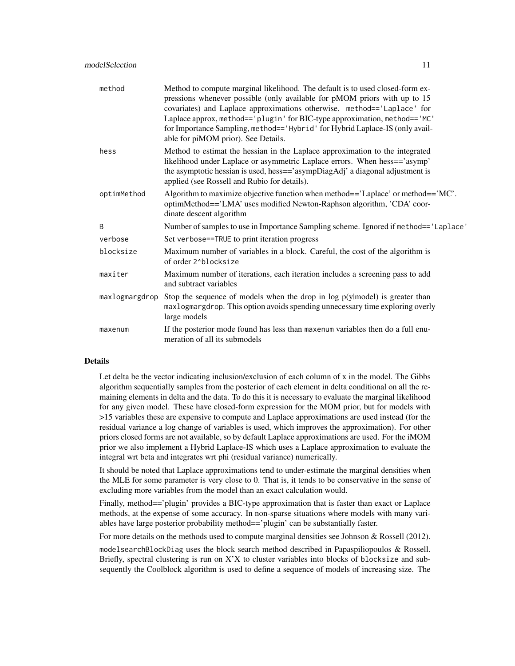| method         | Method to compute marginal likelihood. The default is to used closed-form ex-<br>pressions whenever possible (only available for pMOM priors with up to 15<br>covariates) and Laplace approximations otherwise. method=='Laplace' for<br>Laplace approx, method=='plugin' for BIC-type approximation, method=='MC'<br>for Importance Sampling, method=='Hybrid' for Hybrid Laplace-IS (only avail-<br>able for piMOM prior). See Details. |
|----------------|-------------------------------------------------------------------------------------------------------------------------------------------------------------------------------------------------------------------------------------------------------------------------------------------------------------------------------------------------------------------------------------------------------------------------------------------|
| hess           | Method to estimat the hessian in the Laplace approximation to the integrated<br>likelihood under Laplace or asymmetric Laplace errors. When hess=='asymp'<br>the asymptotic hessian is used, hess=='asympDiagAdj' a diagonal adjustment is<br>applied (see Rossell and Rubio for details).                                                                                                                                                |
| optimMethod    | Algorithm to maximize objective function when method== $\text{Laplace}$ or method== $\text{MC}$ .<br>optimMethod=='LMA' uses modified Newton-Raphson algorithm, 'CDA' coor-<br>dinate descent algorithm                                                                                                                                                                                                                                   |
| B              | Number of samples to use in Importance Sampling scheme. Ignored if method=='Laplace'                                                                                                                                                                                                                                                                                                                                                      |
| verbose        | Set verbose==TRUE to print iteration progress                                                                                                                                                                                                                                                                                                                                                                                             |
| blocksize      | Maximum number of variables in a block. Careful, the cost of the algorithm is<br>of order 2^blocksize                                                                                                                                                                                                                                                                                                                                     |
| maxiter        | Maximum number of iterations, each iteration includes a screening pass to add<br>and subtract variables                                                                                                                                                                                                                                                                                                                                   |
| maxlogmargdrop | Stop the sequence of models when the drop in $log p(y \mid model)$ is greater than<br>maxlogmargdrop. This option avoids spending unnecessary time exploring overly<br>large models                                                                                                                                                                                                                                                       |
| maxenum        | If the posterior mode found has less than maxenum variables then do a full enu-<br>meration of all its submodels                                                                                                                                                                                                                                                                                                                          |

# Details

Let delta be the vector indicating inclusion/exclusion of each column of x in the model. The Gibbs algorithm sequentially samples from the posterior of each element in delta conditional on all the remaining elements in delta and the data. To do this it is necessary to evaluate the marginal likelihood for any given model. These have closed-form expression for the MOM prior, but for models with >15 variables these are expensive to compute and Laplace approximations are used instead (for the residual variance a log change of variables is used, which improves the approximation). For other priors closed forms are not available, so by default Laplace approximations are used. For the iMOM prior we also implement a Hybrid Laplace-IS which uses a Laplace approximation to evaluate the integral wrt beta and integrates wrt phi (residual variance) numerically.

It should be noted that Laplace approximations tend to under-estimate the marginal densities when the MLE for some parameter is very close to 0. That is, it tends to be conservative in the sense of excluding more variables from the model than an exact calculation would.

Finally, method=='plugin' provides a BIC-type approximation that is faster than exact or Laplace methods, at the expense of some accuracy. In non-sparse situations where models with many variables have large posterior probability method=='plugin' can be substantially faster.

For more details on the methods used to compute marginal densities see Johnson & Rossell (2012).

modelsearchBlockDiag uses the block search method described in Papaspiliopoulos & Rossell. Briefly, spectral clustering is run on X'X to cluster variables into blocks of blocksize and subsequently the Coolblock algorithm is used to define a sequence of models of increasing size. The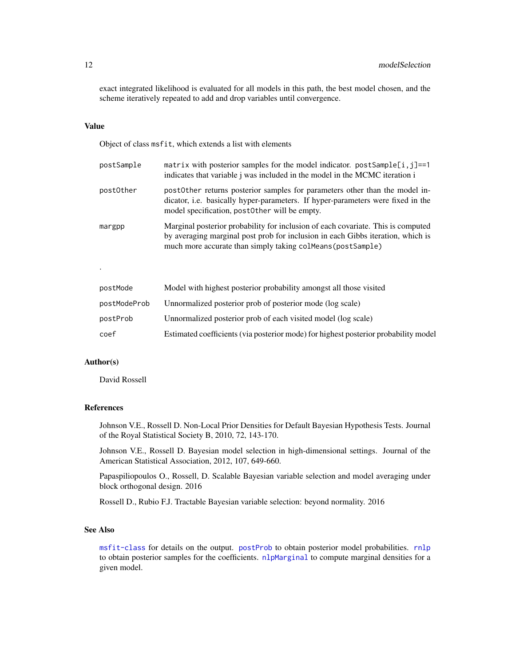<span id="page-11-0"></span>exact integrated likelihood is evaluated for all models in this path, the best model chosen, and the scheme iteratively repeated to add and drop variables until convergence.

#### Value

Object of class msfit, which extends a list with elements

| postSample | matrix with posterior samples for the model indicator. $postSample[i, j] == 1$<br>indicates that variable <i>j</i> was included in the model in the MCMC iteration <i>i</i>                                                        |
|------------|------------------------------------------------------------------------------------------------------------------------------------------------------------------------------------------------------------------------------------|
| postOther  | postother returns posterior samples for parameters other than the model in-<br>dicator, i.e. basically hyper-parameters. If hyper-parameters were fixed in the<br>model specification, post0ther will be empty.                    |
| margpp     | Marginal posterior probability for inclusion of each covariate. This is computed<br>by averaging marginal post prob for inclusion in each Gibbs iteration, which is<br>much more accurate than simply taking colMeans (postSample) |

| postMode     | Model with highest posterior probability amongst all those visited                  |
|--------------|-------------------------------------------------------------------------------------|
| postModeProb | Unnormalized posterior prob of posterior mode (log scale)                           |
| postProb     | Unnormalized posterior prob of each visited model (log scale)                       |
| coef         | Estimated coefficients (via posterior mode) for highest posterior probability model |

#### Author(s)

.

David Rossell

# References

Johnson V.E., Rossell D. Non-Local Prior Densities for Default Bayesian Hypothesis Tests. Journal of the Royal Statistical Society B, 2010, 72, 143-170.

Johnson V.E., Rossell D. Bayesian model selection in high-dimensional settings. Journal of the American Statistical Association, 2012, 107, 649-660.

Papaspiliopoulos O., Rossell, D. Scalable Bayesian variable selection and model averaging under block orthogonal design. 2016

Rossell D., Rubio F.J. Tractable Bayesian variable selection: beyond normality. 2016

#### See Also

[msfit-class](#page-16-1) for details on the output. [postProb](#page-28-1) to obtain posterior model probabilities. [rnlp](#page-29-1) to obtain posterior samples for the coefficients. [nlpMarginal](#page-20-1) to compute marginal densities for a given model.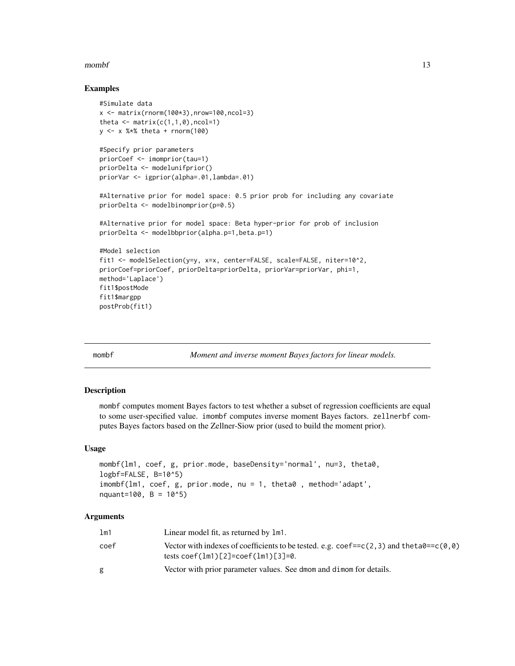#### <span id="page-12-0"></span> $mombf$  13

#### Examples

```
#Simulate data
x \le matrix(rnorm(100*3), nrow=100, ncol=3)
theta \leq matrix(c(1,1,0), ncol=1)
y <- x %*% theta + rnorm(100)
#Specify prior parameters
priorCoef <- imomprior(tau=1)
priorDelta <- modelunifprior()
priorVar <- igprior(alpha=.01,lambda=.01)
#Alternative prior for model space: 0.5 prior prob for including any covariate
priorDelta <- modelbinomprior(p=0.5)
#Alternative prior for model space: Beta hyper-prior for prob of inclusion
priorDelta <- modelbbprior(alpha.p=1,beta.p=1)
#Model selection
fit1 <- modelSelection(y=y, x=x, center=FALSE, scale=FALSE, niter=10^2,
priorCoef=priorCoef, priorDelta=priorDelta, priorVar=priorVar, phi=1,
method='Laplace')
fit1$postMode
fit1$margpp
postProb(fit1)
```
<span id="page-12-1"></span>

mombf *Moment and inverse moment Bayes factors for linear models.*

#### <span id="page-12-2"></span>Description

mombf computes moment Bayes factors to test whether a subset of regression coefficients are equal to some user-specified value. imombf computes inverse moment Bayes factors. zellnerbf computes Bayes factors based on the Zellner-Siow prior (used to build the moment prior).

#### Usage

```
mombf(lm1, coef, g, prior.mode, baseDensity='normal', nu=3, theta0,
logbf=FALSE, B=10^5)
imombf(lm1, coef, g, prior.mode, nu = 1, theta0 , method='adapt',
nquant=100, B = 10^5)
```

| lm1  | Linear model fit, as returned by 1m1.                                                                                                                   |
|------|---------------------------------------------------------------------------------------------------------------------------------------------------------|
| coef | Vector with indexes of coefficients to be tested. e.g. coef== $c(2,3)$ and the ta0== $c(0,0)$<br>tests $\text{coef}(1m1)[2] = \text{coef}(1m1)[3] = 0.$ |
| g    | Vector with prior parameter values. See dmom and dimom for details.                                                                                     |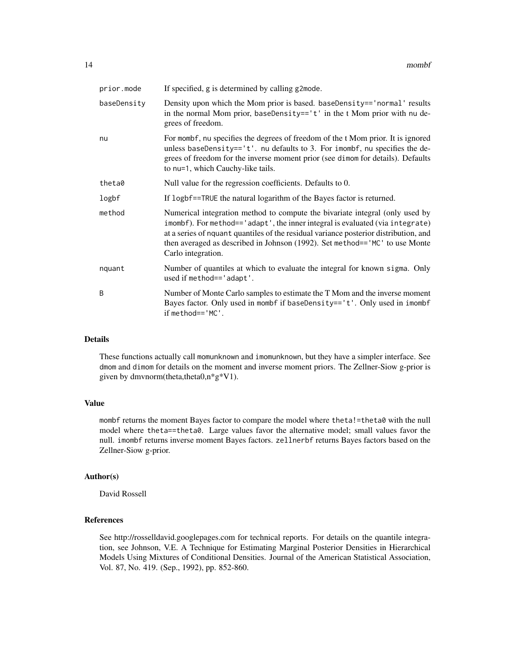| prior.mode  | If specified, g is determined by calling g2mode.                                                                                                                                                                                                                                                                                                            |
|-------------|-------------------------------------------------------------------------------------------------------------------------------------------------------------------------------------------------------------------------------------------------------------------------------------------------------------------------------------------------------------|
| baseDensity | Density upon which the Mom prior is based. baseDensity== $\text{'normal'}$ results<br>in the normal Mom prior, baseDensity== $'t'$ in the t Mom prior with nu de-<br>grees of freedom.                                                                                                                                                                      |
| nu          | For mombf, nu specifies the degrees of freedom of the t Mom prior. It is ignored<br>unless baseDensity== $'t'.$ nu defaults to 3. For imombf, nu specifies the de-<br>grees of freedom for the inverse moment prior (see dimom for details). Defaults<br>to nu=1, which Cauchy-like tails.                                                                  |
| theta0      | Null value for the regression coefficients. Defaults to 0.                                                                                                                                                                                                                                                                                                  |
| logbf       | If logbf==TRUE the natural logarithm of the Bayes factor is returned.                                                                                                                                                                                                                                                                                       |
| method      | Numerical integration method to compute the bivariate integral (only used by<br>imombf). For method=='adapt', the inner integral is evaluated (via integrate)<br>at a series of nquant quantiles of the residual variance posterior distribution, and<br>then averaged as described in Johnson (1992). Set method== 'MC' to use Monte<br>Carlo integration. |
| nquant      | Number of quantiles at which to evaluate the integral for known sigma. Only<br>used if method=='adapt'.                                                                                                                                                                                                                                                     |
| B           | Number of Monte Carlo samples to estimate the T Mom and the inverse moment<br>Bayes factor. Only used in mombf if baseDensity=='t'. Only used in imombf<br>$if$ method== $'MC'.$                                                                                                                                                                            |

#### Details

These functions actually call momunknown and imomunknown, but they have a simpler interface. See dmom and dimom for details on the moment and inverse moment priors. The Zellner-Siow g-prior is given by dmvnorm(theta,theta0,n\*g\*V1).

# Value

mombf returns the moment Bayes factor to compare the model where theta!=theta0 with the null model where theta==theta0. Large values favor the alternative model; small values favor the null. imombf returns inverse moment Bayes factors. zellnerbf returns Bayes factors based on the Zellner-Siow g-prior.

# Author(s)

David Rossell

# References

See http://rosselldavid.googlepages.com for technical reports. For details on the quantile integration, see Johnson, V.E. A Technique for Estimating Marginal Posterior Densities in Hierarchical Models Using Mixtures of Conditional Densities. Journal of the American Statistical Association, Vol. 87, No. 419. (Sep., 1992), pp. 852-860.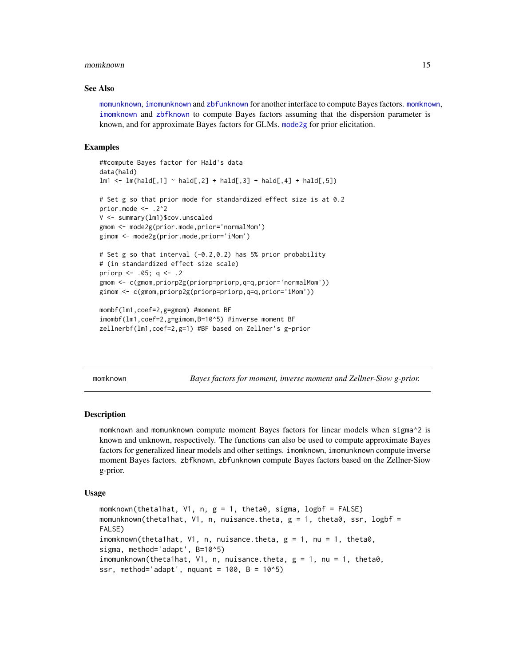#### <span id="page-14-0"></span>momknown and the contract of the contract of the contract of the contract of the contract of the contract of the contract of the contract of the contract of the contract of the contract of the contract of the contract of t

#### See Also

[momunknown](#page-14-1), [imomunknown](#page-14-1) and [zbfunknown](#page-14-1) for another interface to compute Bayes factors. [momknown](#page-14-2), [imomknown](#page-14-1) and [zbfknown](#page-14-1) to compute Bayes factors assuming that the dispersion parameter is known, and for approximate Bayes factors for GLMs. [mode2g](#page-6-2) for prior elicitation.

#### Examples

```
##compute Bayes factor for Hald's data
data(hald)
lm1 < - lm(hald[,1] ~ - hald[,2] ~ + hald[,3] ~ + hald[,4] ~ + hald[,5]# Set g so that prior mode for standardized effect size is at 0.2
prior.mode \leq -2^2V <- summary(lm1)$cov.unscaled
gmom <- mode2g(prior.mode,prior='normalMom')
gimom <- mode2g(prior.mode,prior='iMom')
# Set g so that interval (-0.2,0.2) has 5% prior probability
# (in standardized effect size scale)
priorp <- .05; q <- .2
gmom <- c(gmom,priorp2g(priorp=priorp,q=q,prior='normalMom'))
gimom <- c(gmom,priorp2g(priorp=priorp,q=q,prior='iMom'))
mombf(lm1,coef=2,g=gmom) #moment BF
imombf(lm1,coef=2,g=gimom,B=10^5) #inverse moment BF
```

```
zellnerbf(lm1,coef=2,g=1) #BF based on Zellner's g-prior
```
<span id="page-14-2"></span>momknown *Bayes factors for moment, inverse moment and Zellner-Siow g-prior.*

#### <span id="page-14-1"></span>**Description**

momknown and momunknown compute moment Bayes factors for linear models when sigma^2 is known and unknown, respectively. The functions can also be used to compute approximate Bayes factors for generalized linear models and other settings. imomknown, imomunknown compute inverse moment Bayes factors. zbfknown, zbfunknown compute Bayes factors based on the Zellner-Siow g-prior.

#### Usage

momknown(theta1hat, V1, n, g = 1, theta0, sigma, logbf = FALSE) momunknown(theta1hat, V1, n, nuisance.theta, g = 1, theta0, ssr, logbf = FALSE) imomknown(thetalhat, V1, n, nuisance.theta,  $g = 1$ , nu = 1, theta $\theta$ , sigma, method='adapt', B=10^5) imomunknown(theta1hat, V1, n, nuisance.theta,  $g = 1$ , nu = 1, theta0, ssr, method='adapt', nquant =  $100$ , B =  $10^5$ )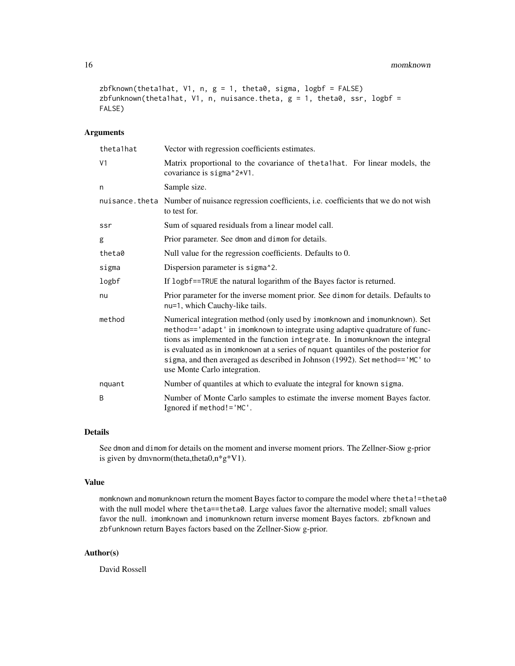```
zbfknown(theta1hat, V1, n, g = 1, theta0, sigma, logbf = FALSE)
zbfunknown(theta1hat, V1, n, nuisance.theta, g = 1, theta0, ssr, logbf =
FALSE)
```
# Arguments

| theta1hat | Vector with regression coefficients estimates.                                                                                                                                                                                                                                                                                                                                                                                                 |  |
|-----------|------------------------------------------------------------------------------------------------------------------------------------------------------------------------------------------------------------------------------------------------------------------------------------------------------------------------------------------------------------------------------------------------------------------------------------------------|--|
| V1        | Matrix proportional to the covariance of theta1hat. For linear models, the<br>covariance is sigma^2*V1.                                                                                                                                                                                                                                                                                                                                        |  |
| n         | Sample size.                                                                                                                                                                                                                                                                                                                                                                                                                                   |  |
|           | nuisance. theta Number of nuisance regression coefficients, i.e. coefficients that we do not wish<br>to test for.                                                                                                                                                                                                                                                                                                                              |  |
| ssr       | Sum of squared residuals from a linear model call.                                                                                                                                                                                                                                                                                                                                                                                             |  |
| g         | Prior parameter. See dmom and dimom for details.                                                                                                                                                                                                                                                                                                                                                                                               |  |
| theta0    | Null value for the regression coefficients. Defaults to 0.                                                                                                                                                                                                                                                                                                                                                                                     |  |
| sigma     | Dispersion parameter is sigma <sup>2</sup> .                                                                                                                                                                                                                                                                                                                                                                                                   |  |
| logbf     | If logbf==TRUE the natural logarithm of the Bayes factor is returned.                                                                                                                                                                                                                                                                                                                                                                          |  |
| nu        | Prior parameter for the inverse moment prior. See dimom for details. Defaults to<br>nu=1, which Cauchy-like tails.                                                                                                                                                                                                                                                                                                                             |  |
| method    | Numerical integration method (only used by imomknown and imomunknown). Set<br>method=='adapt' in imomknown to integrate using adaptive quadrature of func-<br>tions as implemented in the function integrate. In imomunknown the integral<br>is evaluated as in imomknown at a series of nquant quantiles of the posterior for<br>sigma, and then averaged as described in Johnson (1992). Set method=='MC' to<br>use Monte Carlo integration. |  |
| nquant    | Number of quantiles at which to evaluate the integral for known sigma.                                                                                                                                                                                                                                                                                                                                                                         |  |
| B         | Number of Monte Carlo samples to estimate the inverse moment Bayes factor.<br>Ignored if method!='MC'.                                                                                                                                                                                                                                                                                                                                         |  |

# Details

See dmom and dimom for details on the moment and inverse moment priors. The Zellner-Siow g-prior is given by dmvnorm(theta,theta0,n\*g\*V1).

#### Value

momknown and momunknown return the moment Bayes factor to compare the model where theta!=theta0 with the null model where theta==theta0. Large values favor the alternative model; small values favor the null. imomknown and imomunknown return inverse moment Bayes factors. zbfknown and zbfunknown return Bayes factors based on the Zellner-Siow g-prior.

## Author(s)

David Rossell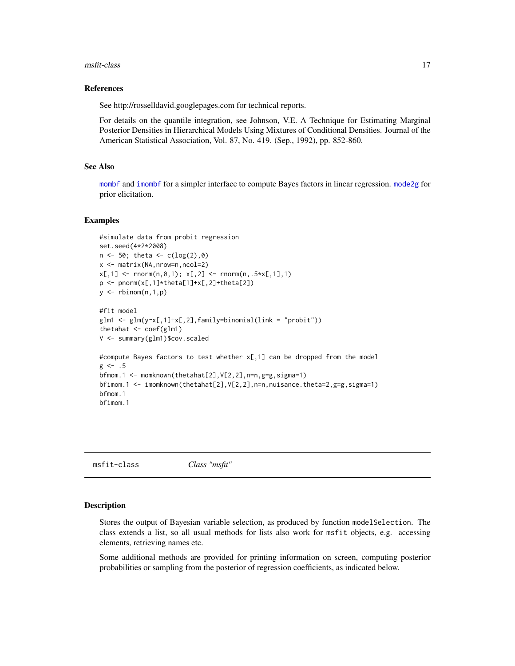#### <span id="page-16-0"></span>msfit-class 17

#### References

See http://rosselldavid.googlepages.com for technical reports.

For details on the quantile integration, see Johnson, V.E. A Technique for Estimating Marginal Posterior Densities in Hierarchical Models Using Mixtures of Conditional Densities. Journal of the American Statistical Association, Vol. 87, No. 419. (Sep., 1992), pp. 852-860.

# See Also

[mombf](#page-12-1) and [imombf](#page-12-2) for a simpler interface to compute Bayes factors in linear regression. [mode2g](#page-6-2) for prior elicitation.

#### Examples

```
#simulate data from probit regression
set.seed(4*2*2008)
n \le -50; theta \le -c(\log(2), 0)x <- matrix(NA,nrow=n,ncol=2)
x[,1] <- rnorm(n, 0, 1); x[,2] <- rnorm(n, .5*x[,1],1)p <- pnorm(x[,1]*theta[1]+x[,2]+theta[2])
y \leftarrow rbinom(n,1,p)#fit model
glm1 <- glm(y~x[,1]+x[,2],family=binomial(link = "probit"))
thetahat <- coef(glm1)
V <- summary(glm1)$cov.scaled
#compute Bayes factors to test whether x[,1] can be dropped from the model
g \leftarrow .5bfmom.1 <- momknown(thetahat[2],V[2,2],n=n,g=g,sigma=1)
bfimom.1 <- imomknown(thetahat[2],V[2,2],n=n,nuisance.theta=2,g=g,sigma=1)
bfmom.1
bfimom.1
```
<span id="page-16-1"></span>msfit-class *Class "msfit"*

#### Description

Stores the output of Bayesian variable selection, as produced by function modelSelection. The class extends a list, so all usual methods for lists also work for msfit objects, e.g. accessing elements, retrieving names etc.

Some additional methods are provided for printing information on screen, computing posterior probabilities or sampling from the posterior of regression coefficients, as indicated below.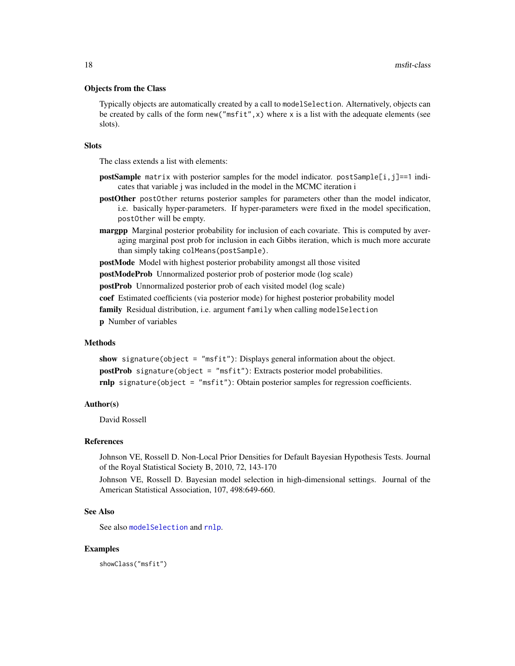#### <span id="page-17-0"></span>Objects from the Class

Typically objects are automatically created by a call to modelSelection. Alternatively, objects can be created by calls of the form new ("msfit",  $x$ ) where x is a list with the adequate elements (see slots).

#### **Slots**

The class extends a list with elements:

- **postSample** matrix with posterior samples for the model indicator.  $postSample[i,j]=1$  indicates that variable j was included in the model in the MCMC iteration i
- postOther postOther returns posterior samples for parameters other than the model indicator, i.e. basically hyper-parameters. If hyper-parameters were fixed in the model specification, postOther will be empty.
- margpp Marginal posterior probability for inclusion of each covariate. This is computed by averaging marginal post prob for inclusion in each Gibbs iteration, which is much more accurate than simply taking colMeans(postSample).

postMode Model with highest posterior probability amongst all those visited

postModeProb Unnormalized posterior prob of posterior mode (log scale)

postProb Unnormalized posterior prob of each visited model (log scale)

coef Estimated coefficients (via posterior mode) for highest posterior probability model

family Residual distribution, i.e. argument family when calling model Selection

p Number of variables

# Methods

show signature(object = "msfit"): Displays general information about the object. postProb signature(object = "msfit"): Extracts posterior model probabilities. rnlp signature(object = "msfit"): Obtain posterior samples for regression coefficients.

#### Author(s)

David Rossell

#### References

Johnson VE, Rossell D. Non-Local Prior Densities for Default Bayesian Hypothesis Tests. Journal of the Royal Statistical Society B, 2010, 72, 143-170

Johnson VE, Rossell D. Bayesian model selection in high-dimensional settings. Journal of the American Statistical Association, 107, 498:649-660.

## See Also

See also [modelSelection](#page-8-1) and [rnlp](#page-29-1).

#### Examples

showClass("msfit")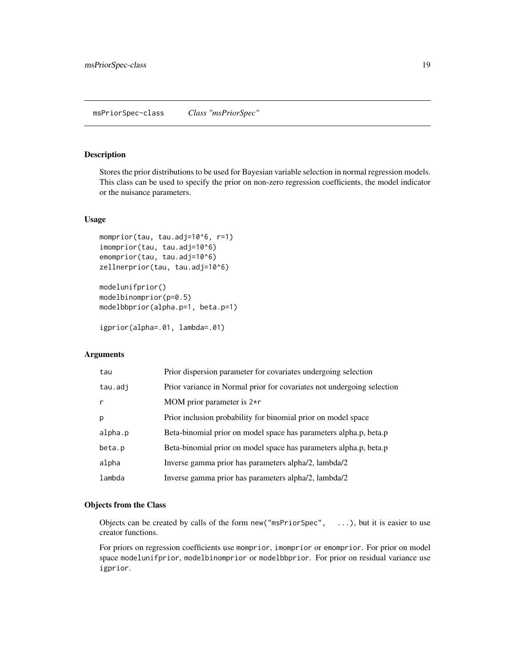#### <span id="page-18-1"></span><span id="page-18-0"></span>Description

Stores the prior distributions to be used for Bayesian variable selection in normal regression models. This class can be used to specify the prior on non-zero regression coefficients, the model indicator or the nuisance parameters.

#### Usage

```
momprior(tau, tau.adj=10^6, r=1)
imomprior(tau, tau.adj=10^6)
emomprior(tau, tau.adj=10^6)
zellnerprior(tau, tau.adj=10^6)
```

```
modelunifprior()
modelbinomprior(p=0.5)
modelbbprior(alpha.p=1, beta.p=1)
```

```
igprior(alpha=.01, lambda=.01)
```
# **Arguments**

| tau     | Prior dispersion parameter for covariates undergoing selection         |
|---------|------------------------------------------------------------------------|
| tau.adj | Prior variance in Normal prior for covariates not undergoing selection |
| r       | MOM prior parameter is $2\star r$                                      |
| p       | Prior inclusion probability for binomial prior on model space          |
| alpha.p | Beta-binomial prior on model space has parameters alpha.p, beta.p      |
| beta.p  | Beta-binomial prior on model space has parameters alpha.p, beta.p      |
| alpha   | Inverse gamma prior has parameters alpha/2, lambda/2                   |
| lambda  | Inverse gamma prior has parameters alpha/2, lambda/2                   |

# Objects from the Class

Objects can be created by calls of the form new("msPriorSpec", ...), but it is easier to use creator functions.

For priors on regression coefficients use momprior, imomprior or emomprior. For prior on model space modelunifprior, modelbinomprior or modelbbprior. For prior on residual variance use igprior.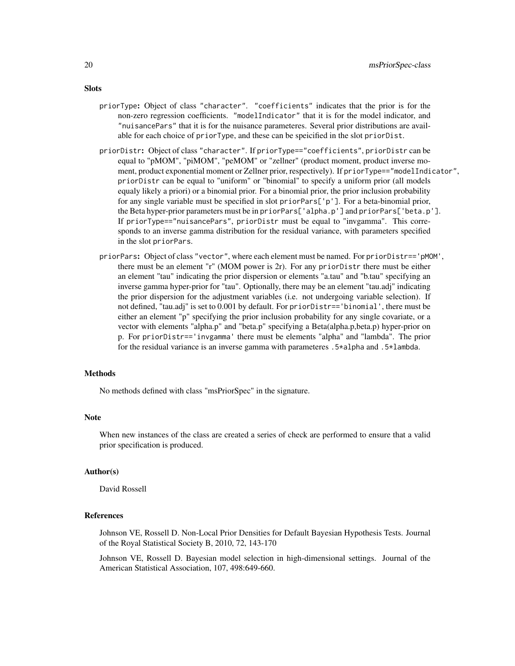- priorType: Object of class "character". "coefficients" indicates that the prior is for the non-zero regression coefficients. "modelIndicator" that it is for the model indicator, and "nuisancePars" that it is for the nuisance parameteres. Several prior distributions are available for each choice of priorType, and these can be speicified in the slot priorDist.
- priorDistr: Object of class "character". If priorType=="coefficients", priorDistr can be equal to "pMOM", "piMOM", "peMOM" or "zellner" (product moment, product inverse moment, product exponential moment or Zellner prior, respectively). If priorType=="modelIndicator", priorDistr can be equal to "uniform" or "binomial" to specify a uniform prior (all models equaly likely a priori) or a binomial prior. For a binomial prior, the prior inclusion probability for any single variable must be specified in slot priorPars $[$ 'p']. For a beta-binomial prior, the Beta hyper-prior parameters must be in priorPars['alpha.p'] and priorPars['beta.p']. If priorType=="nuisancePars", priorDistr must be equal to "invgamma". This corresponds to an inverse gamma distribution for the residual variance, with parameters specified in the slot priorPars.
- priorPars: Object of class "vector", where each element must be named. For priorDistr=='pMOM', there must be an element "r" (MOM power is 2r). For any priorDistr there must be either an element "tau" indicating the prior dispersion or elements "a.tau" and "b.tau" specifying an inverse gamma hyper-prior for "tau". Optionally, there may be an element "tau.adj" indicating the prior dispersion for the adjustment variables (i.e. not undergoing variable selection). If not defined, "tau.adj" is set to 0.001 by default. For priorDistr=='binomial', there must be either an element "p" specifying the prior inclusion probability for any single covariate, or a vector with elements "alpha.p" and "beta.p" specifying a Beta(alpha.p,beta.p) hyper-prior on p. For priorDistr=='invgamma' there must be elements "alpha" and "lambda". The prior for the residual variance is an inverse gamma with parameteres .5\*alpha and .5\*lambda.

# Methods

No methods defined with class "msPriorSpec" in the signature.

#### Note

When new instances of the class are created a series of check are performed to ensure that a valid prior specification is produced.

#### Author(s)

David Rossell

#### References

Johnson VE, Rossell D. Non-Local Prior Densities for Default Bayesian Hypothesis Tests. Journal of the Royal Statistical Society B, 2010, 72, 143-170

Johnson VE, Rossell D. Bayesian model selection in high-dimensional settings. Journal of the American Statistical Association, 107, 498:649-660.

# **Slots**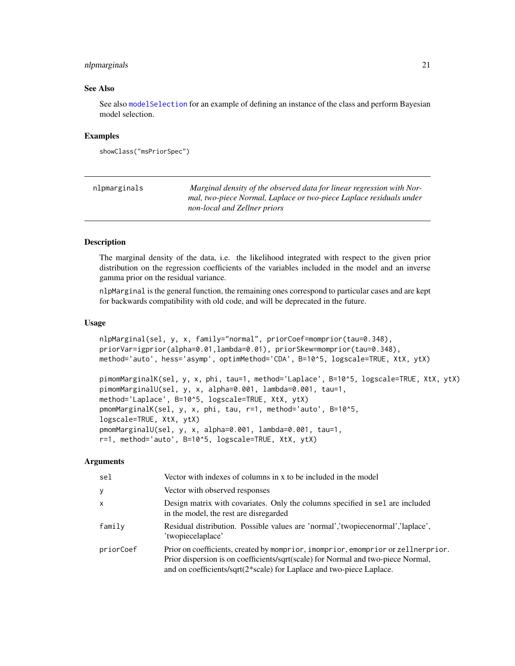# <span id="page-20-0"></span>nlpmarginals 21

#### See Also

See also [modelSelection](#page-8-1) for an example of defining an instance of the class and perform Bayesian model selection.

#### Examples

```
showClass("msPriorSpec")
```

| nlpmarginals | Marginal density of the observed data for linear regression with Nor-<br>mal, two-piece Normal, Laplace or two-piece Laplace residuals under<br>non-local and Zellner priors |
|--------------|------------------------------------------------------------------------------------------------------------------------------------------------------------------------------|
|              |                                                                                                                                                                              |

# <span id="page-20-1"></span>Description

The marginal density of the data, i.e. the likelihood integrated with respect to the given prior distribution on the regression coefficients of the variables included in the model and an inverse gamma prior on the residual variance.

nlpMarginal is the general function, the remaining ones correspond to particular cases and are kept for backwards compatibility with old code, and will be deprecated in the future.

#### Usage

```
nlpMarginal(sel, y, x, family="normal", priorCoef=momprior(tau=0.348),
priorVar=igprior(alpha=0.01,lambda=0.01), priorSkew=momprior(tau=0.348),
method='auto', hess='asymp', optimMethod='CDA', B=10^5, logscale=TRUE, XtX, ytX)
pimomMarginalK(sel, y, x, phi, tau=1, method='Laplace', B=10^5, logscale=TRUE, XtX, ytX)
pimomMarginalU(sel, y, x, alpha=0.001, lambda=0.001, tau=1,
method='Laplace', B=10^5, logscale=TRUE, XtX, ytX)
pmomMarginalK(sel, y, x, phi, tau, r=1, method='auto', B=10^5,
logscale=TRUE, XtX, ytX)
pmomMarginalU(sel, y, x, alpha=0.001, lambda=0.001, tau=1,
r=1, method='auto', B=10^5, logscale=TRUE, XtX, ytX)
```

| sel       | Vector with indexes of columns in x to be included in the model                                                                                                                                                                               |  |
|-----------|-----------------------------------------------------------------------------------------------------------------------------------------------------------------------------------------------------------------------------------------------|--|
| У         | Vector with observed responses                                                                                                                                                                                                                |  |
| X         | Design matrix with covariates. Only the columns specified in sel are included<br>in the model, the rest are disregarded                                                                                                                       |  |
| family    | Residual distribution. Possible values are 'normal','twopiecenormal','laplace',<br>'twopiecelaplace'                                                                                                                                          |  |
| priorCoef | Prior on coefficients, created by momprior, imomprior, emomprior or zellnerprior.<br>Prior dispersion is on coefficients/sqrt(scale) for Normal and two-piece Normal,<br>and on coefficients/sqrt(2*scale) for Laplace and two-piece Laplace. |  |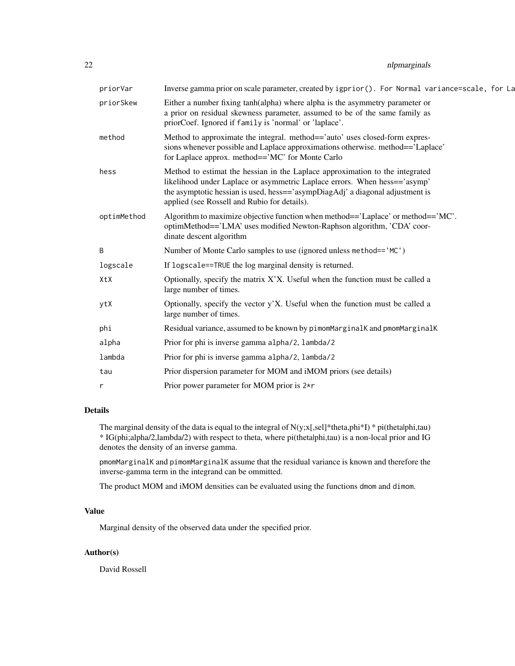# 22 nlpmarginals

| priorVar    | Inverse gamma prior on scale parameter, created by igprior (). For Normal variance=scale, for La                                                                                                                                                                                           |
|-------------|--------------------------------------------------------------------------------------------------------------------------------------------------------------------------------------------------------------------------------------------------------------------------------------------|
| priorSkew   | Either a number fixing tanh(alpha) where alpha is the asymmetry parameter or<br>a prior on residual skewness parameter, assumed to be of the same family as<br>priorCoef. Ignored if family is 'normal' or 'laplace'.                                                                      |
| method      | Method to approximate the integral. method=='auto' uses closed-form expres-<br>sions whenever possible and Laplace approximations otherwise. method=='Laplace'<br>for Laplace approx. method=='MC' for Monte Carlo                                                                         |
| hess        | Method to estimat the hessian in the Laplace approximation to the integrated<br>likelihood under Laplace or asymmetric Laplace errors. When hess=='asymp'<br>the asymptotic hessian is used, hess=='asympDiagAdj' a diagonal adjustment is<br>applied (see Rossell and Rubio for details). |
| optimMethod | Algorithm to maximize objective function when method== $\text{Laplace}$ or method== $\text{MC}$ .<br>optimMethod=='LMA' uses modified Newton-Raphson algorithm, 'CDA' coor-<br>dinate descent algorithm                                                                                    |
| B           | Number of Monte Carlo samples to use (ignored unless method== 'MC')                                                                                                                                                                                                                        |
| logscale    | If logscale==TRUE the log marginal density is returned.                                                                                                                                                                                                                                    |
| XtX         | Optionally, specify the matrix $X'X$ . Useful when the function must be called a<br>large number of times.                                                                                                                                                                                 |
| ytX         | Optionally, specify the vector y'X. Useful when the function must be called a<br>large number of times.                                                                                                                                                                                    |
| phi         | Residual variance, assumed to be known by pimomMarginalK and pmomMarginalK                                                                                                                                                                                                                 |
| alpha       | Prior for phi is inverse gamma alpha/2, lambda/2                                                                                                                                                                                                                                           |
| lambda      | Prior for phi is inverse gamma alpha/2, lambda/2                                                                                                                                                                                                                                           |
| tau         | Prior dispersion parameter for MOM and iMOM priors (see details)                                                                                                                                                                                                                           |
| r           | Prior power parameter for MOM prior is $2\star r$                                                                                                                                                                                                                                          |
|             |                                                                                                                                                                                                                                                                                            |

# Details

The marginal density of the data is equal to the integral of  $N(y;x[, sel]*theta, phi*I) * pi(thetalph, tau)$ \* IG(phi;alpha/2,lambda/2) with respect to theta, where pi(theta|phi,tau) is a non-local prior and IG denotes the density of an inverse gamma.

pmomMarginalK and pimomMarginalK assume that the residual variance is known and therefore the inverse-gamma term in the integrand can be ommitted.

The product MOM and iMOM densities can be evaluated using the functions dmom and dimom.

# Value

Marginal density of the observed data under the specified prior.

# Author(s)

David Rossell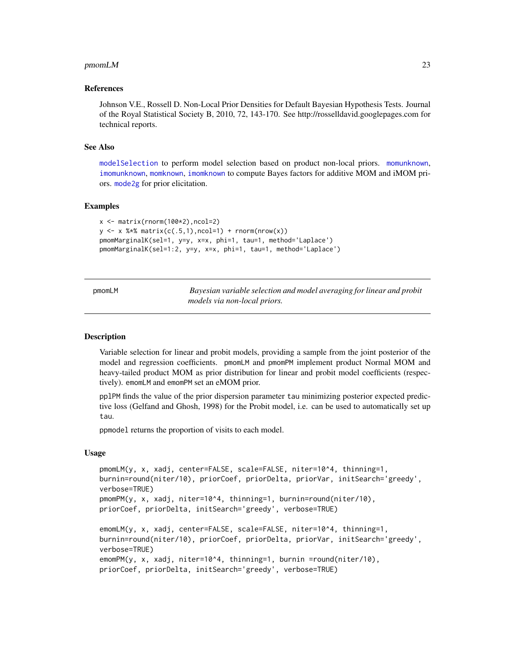#### <span id="page-22-0"></span> $p$ momLM 23

#### References

Johnson V.E., Rossell D. Non-Local Prior Densities for Default Bayesian Hypothesis Tests. Journal of the Royal Statistical Society B, 2010, 72, 143-170. See http://rosselldavid.googlepages.com for technical reports.

# See Also

[modelSelection](#page-8-1) to perform model selection based on product non-local priors. [momunknown](#page-14-1), [imomunknown](#page-14-1), [momknown](#page-14-2), [imomknown](#page-14-1) to compute Bayes factors for additive MOM and iMOM priors. [mode2g](#page-6-2) for prior elicitation.

#### Examples

```
x <- matrix(rnorm(100*2),ncol=2)
y \leq -x %*% matrix(c(.5,1),ncol=1) + rnorm(nrow(x))
pmomMarginalK(sel=1, y=y, x=x, phi=1, tau=1, method='Laplace')
pmomMarginalK(sel=1:2, y=y, x=x, phi=1, tau=1, method='Laplace')
```

| pmomLM | Bayesian variable selection and model averaging for linear and probit |
|--------|-----------------------------------------------------------------------|
|        | models via non-local priors.                                          |

#### Description

Variable selection for linear and probit models, providing a sample from the joint posterior of the model and regression coefficients. pmomLM and pmomPM implement product Normal MOM and heavy-tailed product MOM as prior distribution for linear and probit model coefficients (respectively). emomLM and emomPM set an eMOM prior.

pplPM finds the value of the prior dispersion parameter tau minimizing posterior expected predictive loss (Gelfand and Ghosh, 1998) for the Probit model, i.e. can be used to automatically set up tau.

ppmodel returns the proportion of visits to each model.

#### Usage

```
pmomLM(y, x, xadj, center=FALSE, scale=FALSE, niter=10^4, thinning=1,
burnin=round(niter/10), priorCoef, priorDelta, priorVar, initSearch='greedy',
verbose=TRUE)
pmomPM(y, x, xadj, niter=10^4, thinning=1, burnin=round(niter/10),
priorCoef, priorDelta, initSearch='greedy', verbose=TRUE)
emomLM(y, x, xadj, center=FALSE, scale=FALSE, niter=10^4, thinning=1,
```

```
burnin=round(niter/10), priorCoef, priorDelta, priorVar, initSearch='greedy',
verbose=TRUE)
emomPM(y, x, xadj, niter=10^4, thinning=1, burnin =round(niter/10),
priorCoef, priorDelta, initSearch='greedy', verbose=TRUE)
```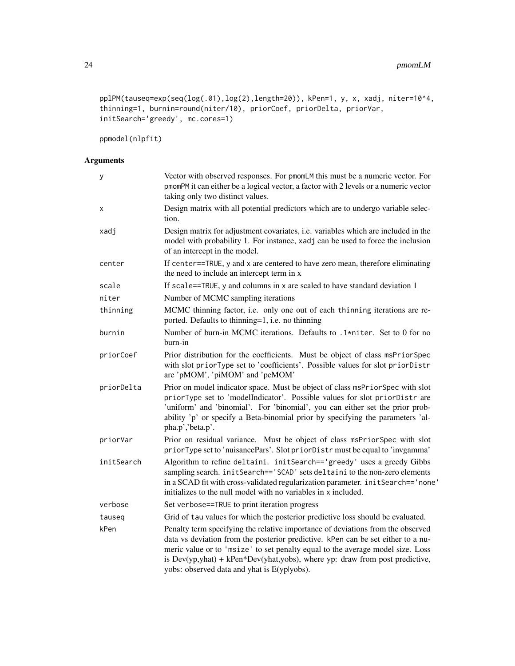```
pplPM(tauseq=exp(seq(log(.01),log(2),length=20)), kPen=1, y, x, xadj, niter=10^4,
thinning=1, burnin=round(niter/10), priorCoef, priorDelta, priorVar,
initSearch='greedy', mc.cores=1)
```
ppmodel(nlpfit)

| у          | Vector with observed responses. For pmomLM this must be a numeric vector. For<br>pmomPM it can either be a logical vector, a factor with 2 levels or a numeric vector<br>taking only two distinct values.                                                                                                                                                                                  |  |
|------------|--------------------------------------------------------------------------------------------------------------------------------------------------------------------------------------------------------------------------------------------------------------------------------------------------------------------------------------------------------------------------------------------|--|
| х          | Design matrix with all potential predictors which are to undergo variable selec-<br>tion.                                                                                                                                                                                                                                                                                                  |  |
| xadj       | Design matrix for adjustment covariates, i.e. variables which are included in the<br>model with probability 1. For instance, xadj can be used to force the inclusion<br>of an intercept in the model.                                                                                                                                                                                      |  |
| center     | If center==TRUE, y and x are centered to have zero mean, therefore eliminating<br>the need to include an intercept term in x                                                                                                                                                                                                                                                               |  |
| scale      | If scale==TRUE, y and columns in x are scaled to have standard deviation 1                                                                                                                                                                                                                                                                                                                 |  |
| niter      | Number of MCMC sampling iterations                                                                                                                                                                                                                                                                                                                                                         |  |
| thinning   | MCMC thinning factor, i.e. only one out of each thinning iterations are re-<br>ported. Defaults to thinning=1, i.e. no thinning                                                                                                                                                                                                                                                            |  |
| burnin     | Number of burn-in MCMC iterations. Defaults to .1*niter. Set to 0 for no<br>burn-in                                                                                                                                                                                                                                                                                                        |  |
| priorCoef  | Prior distribution for the coefficients. Must be object of class msPriorSpec<br>with slot priorType set to 'coefficients'. Possible values for slot priorDistr<br>are 'pMOM', 'piMOM' and 'peMOM'                                                                                                                                                                                          |  |
| priorDelta | Prior on model indicator space. Must be object of class msPriorSpec with slot<br>priorType set to 'modelIndicator'. Possible values for slot priorDistr are<br>'uniform' and 'binomial'. For 'binomial', you can either set the prior prob-<br>ability 'p' or specify a Beta-binomial prior by specifying the parameters 'al-<br>pha.p','beta.p'.                                          |  |
| priorVar   | Prior on residual variance. Must be object of class msPriorSpec with slot<br>priorType set to 'nuisancePars'. Slot priorDistr must be equal to 'invgamma'                                                                                                                                                                                                                                  |  |
| initSearch | Algorithm to refine deltaini. initSearch=='greedy' uses a greedy Gibbs<br>sampling search. initSearch=='SCAD' sets deltaini to the non-zero elements<br>in a SCAD fit with cross-validated regularization parameter. initSearch=='none'<br>initializes to the null model with no variables in x included.                                                                                  |  |
| verbose    | Set verbose==TRUE to print iteration progress                                                                                                                                                                                                                                                                                                                                              |  |
| tauseq     | Grid of tau values for which the posterior predictive loss should be evaluated.                                                                                                                                                                                                                                                                                                            |  |
| kPen       | Penalty term specifying the relative importance of deviations from the observed<br>data vs deviation from the posterior predictive. kPen can be set either to a nu-<br>meric value or to 'msize' to set penalty equal to the average model size. Loss<br>is $Dev(yp, yhat) + kPen * Dev(yhat, yobs)$ , where yp: draw from post predictive,<br>yobs: observed data and yhat is E(yplyobs). |  |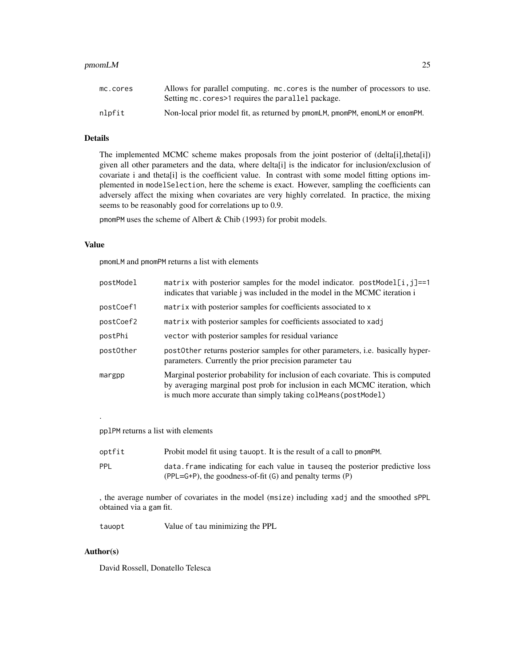#### $p$ momLM 25

# Details

The implemented MCMC scheme makes proposals from the joint posterior of (delta[i],theta[i]) given all other parameters and the data, where delta[i] is the indicator for inclusion/exclusion of covariate i and theta[i] is the coefficient value. In contrast with some model fitting options implemented in modelSelection, here the scheme is exact. However, sampling the coefficients can adversely affect the mixing when covariates are very highly correlated. In practice, the mixing seems to be reasonably good for correlations up to 0.9.

pmomPM uses the scheme of Albert & Chib (1993) for probit models.

# Value

pmomLM and pmomPM returns a list with elements

| postModel | matrix with posterior samples for the model indicator. $postModel[i,j]=1$<br>indicates that variable <i>j</i> was included in the model in the MCMC iteration <i>i</i>                                                            |
|-----------|-----------------------------------------------------------------------------------------------------------------------------------------------------------------------------------------------------------------------------------|
| postCoef1 | matrix with posterior samples for coefficients associated to x                                                                                                                                                                    |
| postCoef2 | matrix with posterior samples for coefficients associated to xadj                                                                                                                                                                 |
| postPhi   | vector with posterior samples for residual variance                                                                                                                                                                               |
| post0ther | postOther returns posterior samples for other parameters, i.e. basically hyper-<br>parameters. Currently the prior precision parameter tau                                                                                        |
| margpp    | Marginal posterior probability for inclusion of each covariate. This is computed<br>by averaging marginal post prob for inclusion in each MCMC iteration, which<br>is much more accurate than simply taking colmeans (post Model) |

pplPM returns a list with elements

| optfit | Probit model fit using tauopt. It is the result of a call to pmomPM.          |
|--------|-------------------------------------------------------------------------------|
| PPL    | data, frame indicating for each value in taused the posterior predictive loss |
|        | $(PPL = G + P)$ , the goodness-of-fit $(G)$ and penalty terms $(P)$           |

, the average number of covariates in the model (msize) including xadj and the smoothed sPPL obtained via a gam fit.

tauopt Value of tau minimizing the PPL

#### Author(s)

.

David Rossell, Donatello Telesca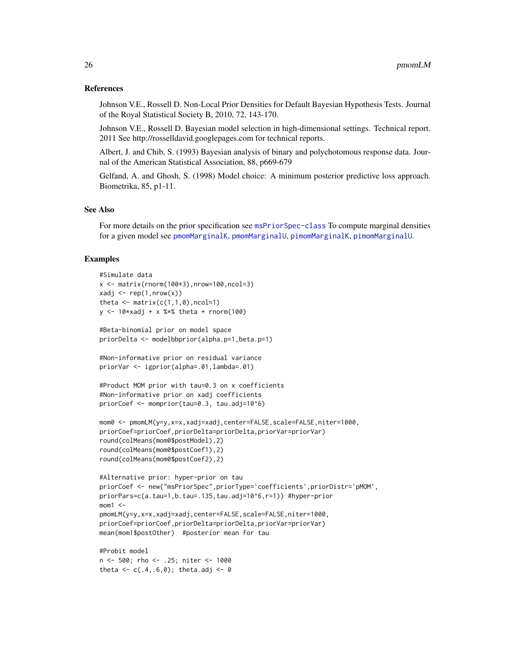#### <span id="page-25-0"></span>References

Johnson V.E., Rossell D. Non-Local Prior Densities for Default Bayesian Hypothesis Tests. Journal of the Royal Statistical Society B, 2010, 72, 143-170.

Johnson V.E., Rossell D. Bayesian model selection in high-dimensional settings. Technical report. 2011 See http://rosselldavid.googlepages.com for technical reports.

Albert, J. and Chib, S. (1993) Bayesian analysis of binary and polychotomous response data. Journal of the American Statistical Association, 88, p669-679

Gelfand, A. and Ghosh, S. (1998) Model choice: A minimum posterior predictive loss approach. Biometrika, 85, p1-11.

#### See Also

For more details on the prior specification see [msPriorSpec-class](#page-18-1) To compute marginal densities for a given model see [pmomMarginalK](#page-20-1), [pmomMarginalU](#page-20-1), [pimomMarginalK](#page-20-1), [pimomMarginalU](#page-20-1).

#### Examples

```
#Simulate data
x \le - matrix(rnorm(100*3),nrow=100,ncol=3)
xadj \leq rep(1,nrow(x))
theta \leq matrix(c(1,1,0), ncol=1)
y \le -10* \times adj + x * * theta + rnorm(100)
#Beta-binomial prior on model space
priorDelta <- modelbbprior(alpha.p=1,beta.p=1)
#Non-informative prior on residual variance
priorVar <- igprior(alpha=.01,lambda=.01)
#Product MOM prior with tau=0.3 on x coefficients
#Non-informative prior on xadj coefficients
priorCoef <- momprior(tau=0.3, tau.adj=10^6)
mom0 <- pmomLM(y=y,x=x,xadj=xadj,center=FALSE,scale=FALSE,niter=1000,
priorCoef=priorCoef,priorDelta=priorDelta,priorVar=priorVar)
round(colMeans(mom0$postModel),2)
round(colMeans(mom0$postCoef1),2)
round(colMeans(mom0$postCoef2),2)
#Alternative prior: hyper-prior on tau
priorCoef <- new("msPriorSpec",priorType='coefficients',priorDistr='pMOM',
priorPars=c(a.tau=1,b.tau=.135,tau.adj=10^6,r=1)) #hyper-prior
mom1 <pmomLM(y=y,x=x,xadj=xadj,center=FALSE,scale=FALSE,niter=1000,
```

```
priorCoef=priorCoef,priorDelta=priorDelta,priorVar=priorVar)
mean(mom1$postOther) #posterior mean for tau
```
#Probit model n <- 500; rho <- .25; niter <- 1000 theta  $<-c(.4,.6,0);$  theta.adj  $<-0$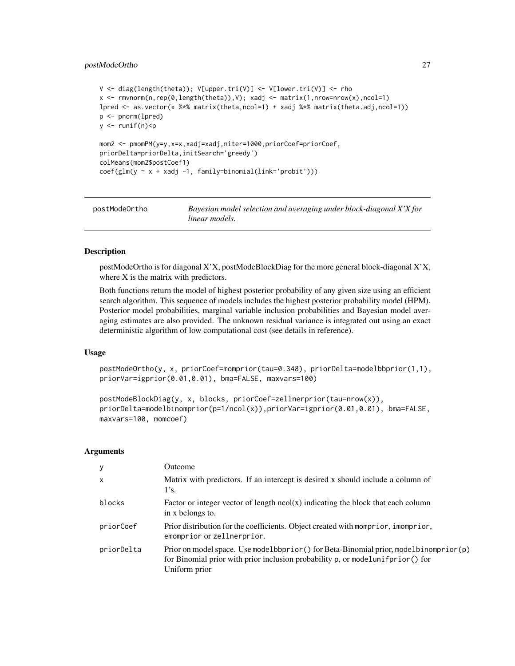# <span id="page-26-0"></span>postModeOrtho 27

```
V \leq - diag(length(theta)); V[upper.tri(V)] \leq - V[lower.tri(V)] \leq - rho
x <- rmvnorm(n,rep(0,length(theta)),V); xadj <- matrix(1,nrow=nrow(x),ncol=1)
lpred <- as.vector(x %*% matrix(theta,ncol=1) + xadj %*% matrix(theta.adj,ncol=1))
p <- pnorm(lpred)
y <- runif(n)<p
mom2 <- pmomPM(y=y,x=x,xadj=xadj,niter=1000,priorCoef=priorCoef,
priorDelta=priorDelta,initSearch='greedy')
colMeans(mom2$postCoef1)
coef(glm(y ~ x + xadj -1, family=binomial(link='probit')))
```

| postModeOrtho | Bayesian model selection and averaging under block-diagonal X'X for |
|---------------|---------------------------------------------------------------------|
|               | linear models.                                                      |

#### Description

postModeOrtho is for diagonal X'X, postModeBlockDiag for the more general block-diagonal X'X, where X is the matrix with predictors.

Both functions return the model of highest posterior probability of any given size using an efficient search algorithm. This sequence of models includes the highest posterior probability model (HPM). Posterior model probabilities, marginal variable inclusion probabilities and Bayesian model averaging estimates are also provided. The unknown residual variance is integrated out using an exact deterministic algorithm of low computational cost (see details in reference).

#### Usage

postModeOrtho(y, x, priorCoef=momprior(tau=0.348), priorDelta=modelbbprior(1,1), priorVar=igprior(0.01,0.01), bma=FALSE, maxvars=100)

```
postModeBlockDiag(y, x, blocks, priorCoef=zellnerprior(tau=nrow(x)),
priorDelta=modelbinomprior(p=1/ncol(x)),priorVar=igprior(0.01,0.01), bma=FALSE,
maxvars=100, momcoef)
```

| y            | Outcome                                                                                                                                                                                      |
|--------------|----------------------------------------------------------------------------------------------------------------------------------------------------------------------------------------------|
| $\mathsf{x}$ | Matrix with predictors. If an intercept is desired x should include a column of<br>1's.                                                                                                      |
| blocks       | Factor or integer vector of length $ncol(x)$ indicating the block that each column<br>in x belongs to.                                                                                       |
| priorCoef    | Prior distribution for the coefficients. Object created with momprior, immersion,<br>emomprior or zellnerprior.                                                                              |
| priorDelta   | Prior on model space. Use model bbprior () for Beta-Binomial prior, model binomprior (p)<br>for Binomial prior with prior inclusion probability p, or modelunifprior () for<br>Uniform prior |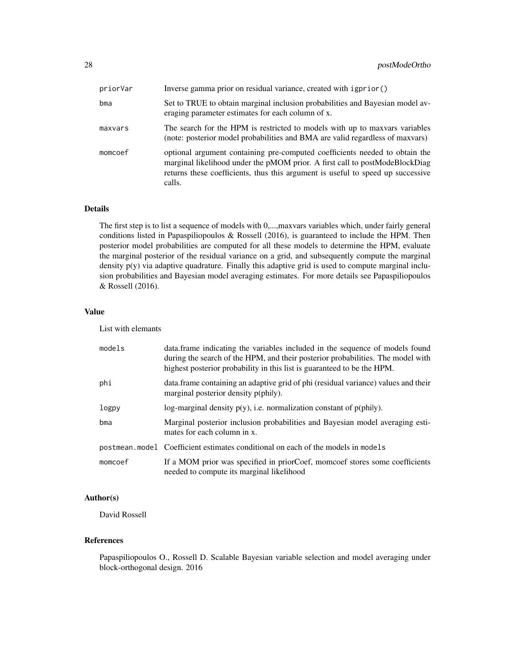| priorVar | Inverse gamma prior on residual variance, created with igprior ()                                                                                                                                                                                       |
|----------|---------------------------------------------------------------------------------------------------------------------------------------------------------------------------------------------------------------------------------------------------------|
| $b$ ma   | Set to TRUE to obtain marginal inclusion probabilities and Bayesian model av-<br>eraging parameter estimates for each column of x.                                                                                                                      |
| maxvars  | The search for the HPM is restricted to models with up to maxvars variables<br>(note: posterior model probabilities and BMA are valid regardless of maxvars)                                                                                            |
| momcoef  | optional argument containing pre-computed coefficients needed to obtain the<br>marginal likelihood under the pMOM prior. A first call to postModeBlockDiag<br>returns these coefficients, thus this argument is useful to speed up successive<br>calls. |

### Details

The first step is to list a sequence of models with 0,...,maxvars variables which, under fairly general conditions listed in Papaspiliopoulos & Rossell (2016), is guaranteed to include the HPM. Then posterior model probabilities are computed for all these models to determine the HPM, evaluate the marginal posterior of the residual variance on a grid, and subsequently compute the marginal density p(y) via adaptive quadrature. Finally this adaptive grid is used to compute marginal inclusion probabilities and Bayesian model averaging estimates. For more details see Papaspiliopoulos & Rossell (2016).

#### Value

List with elemants

| models  | data. frame indicating the variables included in the sequence of models found<br>during the search of the HPM, and their posterior probabilities. The model with<br>highest posterior probability in this list is guaranteed to be the HPM. |
|---------|---------------------------------------------------------------------------------------------------------------------------------------------------------------------------------------------------------------------------------------------|
| phi     | data. frame containing an adaptive grid of phi (residual variance) values and their<br>marginal posterior density p(phily).                                                                                                                 |
| logpy   | log-marginal density $p(y)$ , i.e. normalization constant of $p(\text{phily})$ .                                                                                                                                                            |
| bma     | Marginal posterior inclusion probabilities and Bayesian model averaging esti-<br>mates for each column in x.                                                                                                                                |
|         | postmean.model Coefficient estimates conditional on each of the models in models                                                                                                                                                            |
| momcoef | If a MOM prior was specified in priorCoef, momcoef stores some coefficients<br>needed to compute its marginal likelihood                                                                                                                    |

# Author(s)

David Rossell

# References

Papaspiliopoulos O., Rossell D. Scalable Bayesian variable selection and model averaging under block-orthogonal design. 2016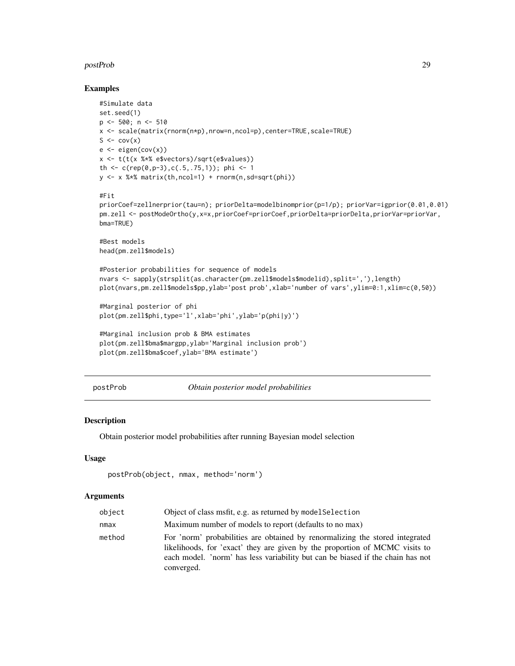#### <span id="page-28-0"></span>postProb 29

#### Examples

```
#Simulate data
set.seed(1)
p <- 500; n <- 510
x <- scale(matrix(rnorm(n*p),nrow=n,ncol=p),center=TRUE,scale=TRUE)
S \leftarrow cov(x)e \leftarrow eigenv(cov(x))x <- t(t(x %*% e$vectors)/sqrt(e$values))
th <- c(rep(0,p-3),c(.5,.75,1)); phi <- 1
y \leq x %*% matrix(th,ncol=1) + rnorm(n,sd=sqrt(phi))
#Fit
priorCoef=zellnerprior(tau=n); priorDelta=modelbinomprior(p=1/p); priorVar=igprior(0.01,0.01)
pm.zell <- postModeOrtho(y,x=x,priorCoef=priorCoef,priorDelta=priorDelta,priorVar=priorVar,
bma=TRUE)
#Best models
head(pm.zell$models)
#Posterior probabilities for sequence of models
nvars <- sapply(strsplit(as.character(pm.zell$models$modelid),split=','),length)
plot(nvars,pm.zell$models$pp,ylab='post prob',xlab='number of vars',ylim=0:1,xlim=c(0,50))
#Marginal posterior of phi
plot(pm.zell$phi,type='l',xlab='phi',ylab='p(phi|y)')
#Marginal inclusion prob & BMA estimates
plot(pm.zell$bma$margpp,ylab='Marginal inclusion prob')
plot(pm.zell$bma$coef,ylab='BMA estimate')
```
<span id="page-28-1"></span>postProb *Obtain posterior model probabilities*

#### Description

Obtain posterior model probabilities after running Bayesian model selection

### Usage

```
postProb(object, nmax, method='norm')
```

| object | Object of class msfit, e.g. as returned by model Selection                                                                                                                                                                                                  |
|--------|-------------------------------------------------------------------------------------------------------------------------------------------------------------------------------------------------------------------------------------------------------------|
| nmax   | Maximum number of models to report (defaults to no max)                                                                                                                                                                                                     |
| method | For 'norm' probabilities are obtained by renormalizing the stored integrated<br>likelihoods, for 'exact' they are given by the proportion of MCMC visits to<br>each model. 'norm' has less variability but can be biased if the chain has not<br>converged. |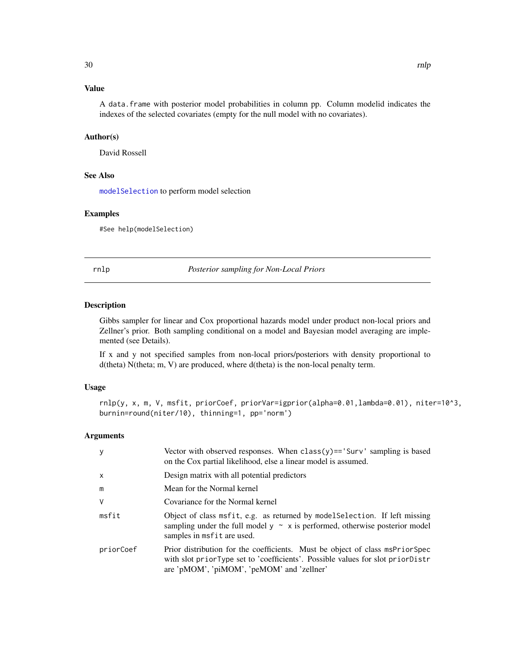# <span id="page-29-0"></span>Value

A data.frame with posterior model probabilities in column pp. Column modelid indicates the indexes of the selected covariates (empty for the null model with no covariates).

## Author(s)

David Rossell

# See Also

[modelSelection](#page-8-1) to perform model selection

# Examples

#See help(modelSelection)

<span id="page-29-1"></span>rnlp *Posterior sampling for Non-Local Priors*

# Description

Gibbs sampler for linear and Cox proportional hazards model under product non-local priors and Zellner's prior. Both sampling conditional on a model and Bayesian model averaging are implemented (see Details).

If x and y not specified samples from non-local priors/posteriors with density proportional to d(theta) N(theta; m, V) are produced, where d(theta) is the non-local penalty term.

#### Usage

rnlp(y, x, m, V, msfit, priorCoef, priorVar=igprior(alpha=0.01,lambda=0.01), niter=10^3, burnin=round(niter/10), thinning=1, pp='norm')

| У            | Vector with observed responses. When $\text{class}(y) == 'Surv'$ sampling is based<br>on the Cox partial likelihood, else a linear model is assumed.                                                         |
|--------------|--------------------------------------------------------------------------------------------------------------------------------------------------------------------------------------------------------------|
| $\mathsf{x}$ | Design matrix with all potential predictors                                                                                                                                                                  |
| m            | Mean for the Normal kernel                                                                                                                                                                                   |
| V            | Covariance for the Normal kernel                                                                                                                                                                             |
| msfit        | Object of class msfit, e.g. as returned by model Selection. If left missing<br>sampling under the full model $y \sim x$ is performed, otherwise posterior model<br>samples in msfit are used.                |
| priorCoef    | Prior distribution for the coefficients. Must be object of class msPriorSpec<br>with slot priorType set to 'coefficients'. Possible values for slot priorDistr<br>are 'pMOM', 'piMOM', 'peMOM' and 'zellner' |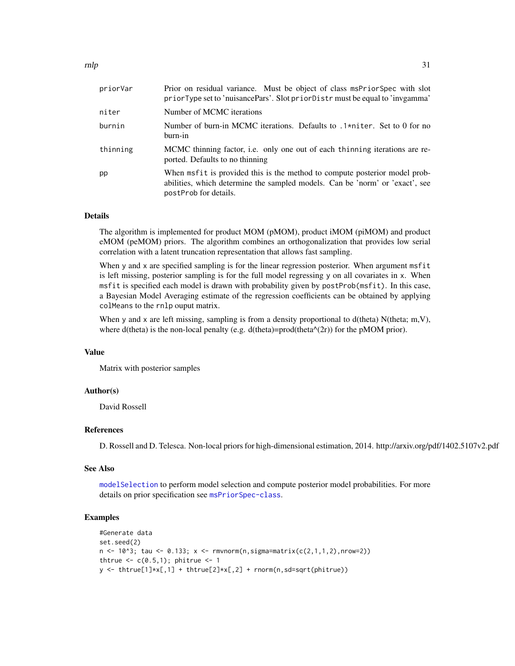<span id="page-30-0"></span>

| Prior on residual variance. Must be object of class msPriorSpec with slot<br>priorType set to 'nuisancePars'. Slot priorDistr must be equal to 'invgamma'                           |
|-------------------------------------------------------------------------------------------------------------------------------------------------------------------------------------|
| Number of MCMC iterations                                                                                                                                                           |
| Number of burn-in MCMC iterations. Defaults to .1*niter. Set to 0 for no<br>burn-in                                                                                                 |
| MCMC thinning factor, i.e. only one out of each thinning iterations are re-<br>ported. Defaults to no thinning                                                                      |
| When msfit is provided this is the method to compute posterior model prob-<br>abilities, which determine the sampled models. Can be 'norm' or 'exact', see<br>postProb for details. |
|                                                                                                                                                                                     |

#### Details

The algorithm is implemented for product MOM (pMOM), product iMOM (piMOM) and product eMOM (peMOM) priors. The algorithm combines an orthogonalization that provides low serial correlation with a latent truncation representation that allows fast sampling.

When y and x are specified sampling is for the linear regression posterior. When argument msfit is left missing, posterior sampling is for the full model regressing y on all covariates in x. When msfit is specified each model is drawn with probability given by postProb(msfit). In this case, a Bayesian Model Averaging estimate of the regression coefficients can be obtained by applying colMeans to the rnlp ouput matrix.

When y and x are left missing, sampling is from a density proportional to  $d$ (theta) N(theta; m,V), where d(theta) is the non-local penalty (e.g. d(theta)=prod(theta $\alpha$ (2r)) for the pMOM prior).

#### Value

Matrix with posterior samples

#### Author(s)

David Rossell

# References

D. Rossell and D. Telesca. Non-local priors for high-dimensional estimation, 2014. http://arxiv.org/pdf/1402.5107v2.pdf

#### See Also

[modelSelection](#page-8-1) to perform model selection and compute posterior model probabilities. For more details on prior specification see [msPriorSpec-class](#page-18-1).

# Examples

```
#Generate data
set.seed(2)
n \le -10^3; tau \le 0.133; x \le -rmvnorm(n, sigma = max(c(2,1,1,2), nrow=2))thtrue \leq c(0.5,1); phitrue \leq 1y \leftarrow \text{thtrue}[1] \star x[, 1] + \text{thtrue}[2] \star x[, 2] + \text{norm}(n, sd = \text{sqrt}(phi) \cdot x
```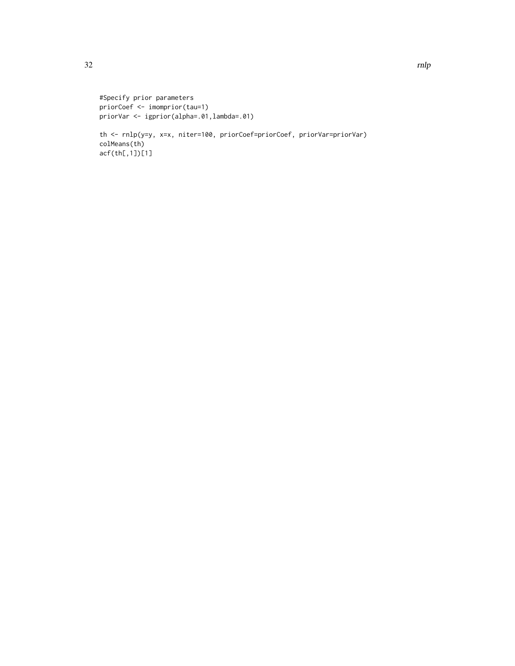```
#Specify prior parameters
priorCoef <- imomprior(tau=1)
priorVar <- igprior(alpha=.01,lambda=.01)
```
th <- rnlp(y=y, x=x, niter=100, priorCoef=priorCoef, priorVar=priorVar) colMeans(th) acf(th[,1])[1]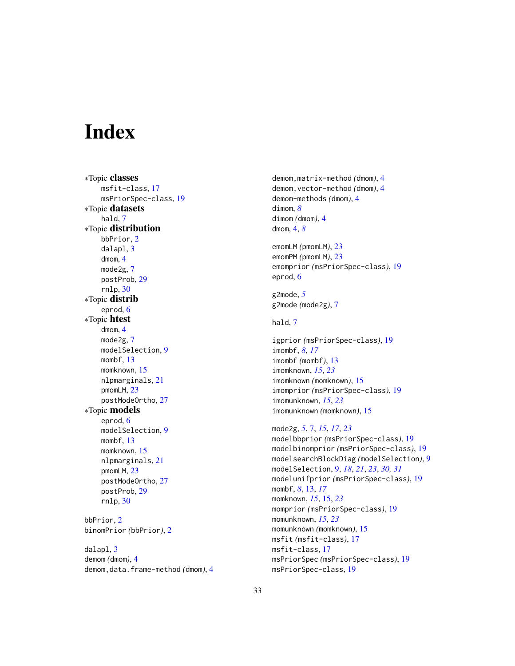# <span id="page-32-0"></span>Index

∗Topic classes msfit-class, [17](#page-16-0) msPriorSpec-class, [19](#page-18-0) ∗Topic datasets hald, [7](#page-6-0) ∗Topic distribution bbPrior, [2](#page-1-0) dalapl, [3](#page-2-0) dmom, [4](#page-3-0) mode2g, [7](#page-6-0) postProb, [29](#page-28-0) rnlp, [30](#page-29-0) ∗Topic distrib eprod, [6](#page-5-0) ∗Topic htest dmom, [4](#page-3-0) mode2g, [7](#page-6-0) modelSelection, [9](#page-8-0) mombf, [13](#page-12-0) momknown, [15](#page-14-0) nlpmarginals, [21](#page-20-0) pmomLM, [23](#page-22-0) postModeOrtho, [27](#page-26-0) ∗Topic models eprod, [6](#page-5-0) modelSelection, [9](#page-8-0) mombf, [13](#page-12-0) momknown, [15](#page-14-0) nlpmarginals, [21](#page-20-0) pmomLM, [23](#page-22-0) postModeOrtho, [27](#page-26-0) postProb, [29](#page-28-0) rnlp, [30](#page-29-0) bbPrior, [2](#page-1-0) binomPrior *(*bbPrior*)*, [2](#page-1-0) dalapl, [3](#page-2-0)

demom *(*dmom*)*, [4](#page-3-0) demom,data.frame-method *(*dmom*)*, [4](#page-3-0) demom,matrix-method *(*dmom*)*, [4](#page-3-0) demom,vector-method *(*dmom*)*, [4](#page-3-0) demom-methods *(*dmom*)*, [4](#page-3-0) dimom, *[8](#page-7-0)* dimom *(*dmom*)*, [4](#page-3-0) dmom, [4,](#page-3-0) *[8](#page-7-0)* emomLM *(*pmomLM*)*, [23](#page-22-0) emomPM *(*pmomLM*)*, [23](#page-22-0) emomprior *(*msPriorSpec-class*)*, [19](#page-18-0) eprod, [6](#page-5-0) g2mode, *[5](#page-4-0)* g2mode *(*mode2g*)*, [7](#page-6-0) hald, [7](#page-6-0) igprior *(*msPriorSpec-class*)*, [19](#page-18-0) imombf, *[8](#page-7-0)*, *[17](#page-16-0)* imombf *(*mombf*)*, [13](#page-12-0) imomknown, *[15](#page-14-0)*, *[23](#page-22-0)* imomknown *(*momknown*)*, [15](#page-14-0) imomprior *(*msPriorSpec-class*)*, [19](#page-18-0) imomunknown, *[15](#page-14-0)*, *[23](#page-22-0)* imomunknown *(*momknown*)*, [15](#page-14-0) mode2g, *[5](#page-4-0)*, [7,](#page-6-0) *[15](#page-14-0)*, *[17](#page-16-0)*, *[23](#page-22-0)* modelbbprior *(*msPriorSpec-class*)*, [19](#page-18-0) modelbinomprior *(*msPriorSpec-class*)*, [19](#page-18-0) modelsearchBlockDiag *(*modelSelection*)*, [9](#page-8-0) modelSelection, [9,](#page-8-0) *[18](#page-17-0)*, *[21](#page-20-0)*, *[23](#page-22-0)*, *[30,](#page-29-0) [31](#page-30-0)* modelunifprior *(*msPriorSpec-class*)*, [19](#page-18-0) mombf, *[8](#page-7-0)*, [13,](#page-12-0) *[17](#page-16-0)* momknown, *[15](#page-14-0)*, [15,](#page-14-0) *[23](#page-22-0)* momprior *(*msPriorSpec-class*)*, [19](#page-18-0) momunknown, *[15](#page-14-0)*, *[23](#page-22-0)*

momunknown *(*momknown*)*, [15](#page-14-0) msfit *(*msfit-class*)*, [17](#page-16-0) msfit-class, [17](#page-16-0) msPriorSpec *(*msPriorSpec-class*)*, [19](#page-18-0) msPriorSpec-class, [19](#page-18-0)